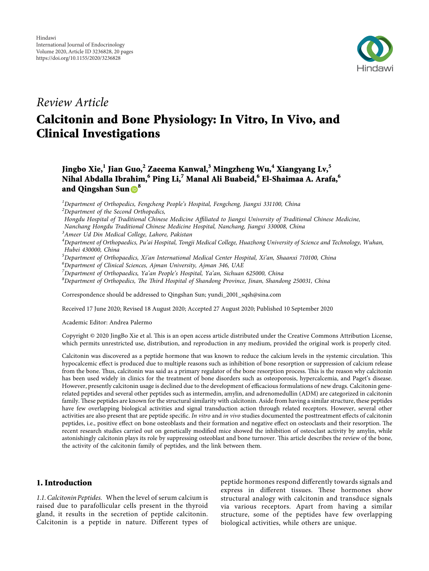

# Review Article

# Calcitonin and Bone Physiology: In Vitro, In Vivo, and Clinical Investigations

# Jingbo Xie, $^{\rm l}$  Jian Guo, $^{\rm 2}$  Zaeema Kanwal, $^{\rm 3}$  Mingzheng Wu, $^{\rm 4}$  Xiangyang Lv, $^{\rm 5}$ Nihal Abdalla Ibrahim, $^6$  Ping Li, $^7$  Manal Ali Buabeid, $^6$  El-Shaimaa A. Arafa, $^6$ and Qingshan Sun $\mathbb{D}^8$

 $1$ Department of Orthopedics, Fengcheng People's Hospital, Fengcheng, Jiangxi 331100, China  $2$ Department of the Second Orthopedics,

Hongdu Hospital of Traditional Chinese Medicine Affiliated to Jiangxi University of Traditional Chinese Medicine,

Nanchang Hongdu Traditional Chinese Medicine Hospital, Nanchang, Jiangxi 330008, China

<sup>3</sup>Ameer Ud Din Medical College, Lahore, Pakistan

 ${}^{4}$ Department of Orthopaedics, Pu'ai Hospital, Tongji Medical College, Huazhong University of Science and Technology, Wuhan, Hubei 430000, China

<sup>5</sup>Department of Orthopaedics, Xi'an International Medical Center Hospital, Xi'an, Shaanxi 710100, China

 $6$ Department of Clinical Sciences, Ajman University, Ajman 346, UAE

 $7$ Department of Orthopaedics, Ya'an People's Hospital, Ya'an, Sichuan 625000, China

 ${}^{8}$ Department of Orthopedics, The Third Hospital of Shandong Province, Jinan, Shandong 250031, China

Correspondence should be addressed to Qingshan Sun; [yundi\\_2001\\_sqsh@sina.com](mailto:yundi_2001_sqsh@sina.com)

Received 17 June 2020; Revised 18 August 2020; Accepted 27 August 2020; Published 10 September 2020

Academic Editor: Andrea Palermo

Copyright © 2020 JingBo Xie et al. This is an open access article distributed under the [Creative Commons Attribution License](https://creativecommons.org/licenses/by/4.0/), which permits unrestricted use, distribution, and reproduction in any medium, provided the original work is properly cited.

Calcitonin was discovered as a peptide hormone that was known to reduce the calcium levels in the systemic circulation. This hypocalcemic effect is produced due to multiple reasons such as inhibition of bone resorption or suppression of calcium release from the bone. Thus, calcitonin was said as a primary regulator of the bone resorption process. This is the reason why calcitonin has been used widely in clinics for the treatment of bone disorders such as osteoporosis, hypercalcemia, and Paget's disease. However, presently calcitonin usage is declined due to the development of efficacious formulations of new drugs. Calcitonin generelated peptides and several other peptides such as intermedin, amylin, and adrenomedullin (ADM) are categorized in calcitonin family. These peptides are known for the structural similarity with calcitonin. Aside from having a similar structure, these peptides have few overlapping biological activities and signal transduction action through related receptors. However, several other activities are also present that are peptide specific. In vitro and in vivo studies documented the posttreatment effects of calcitonin peptides, i.e., positive effect on bone osteoblasts and their formation and negative effect on osteoclasts and their resorption. The recent research studies carried out on genetically modified mice showed the inhibition of osteoclast activity by amylin, while astonishingly calcitonin plays its role by suppressing osteoblast and bone turnover. This article describes the review of the bone, the activity of the calcitonin family of peptides, and the link between them.

# 1. Introduction

1.1.Calcitonin Peptides. When the level of serum calcium is raised due to parafollicular cells present in the thyroid gland, it results in the secretion of peptide calcitonin. Calcitonin is a peptide in nature. Different types of peptide hormones respond differently towards signals and express in different tissues. These hormones show structural analogy with calcitonin and transduce signals via various receptors. Apart from having a similar structure, some of the peptides have few overlapping biological activities, while others are unique.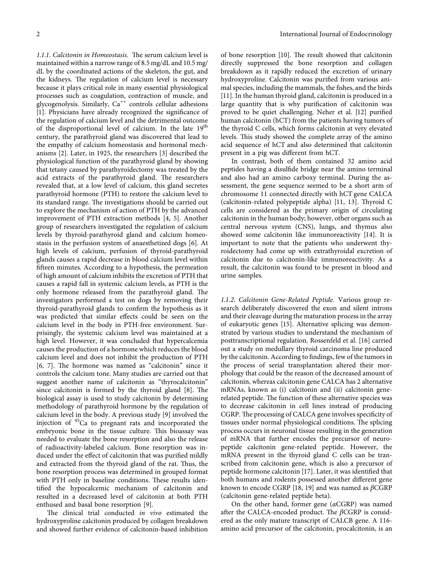1.1.1. Calcitonin in Homeostasis. The serum calcium level is maintained within a narrow range of 8.5 mg/dL and 10.5 mg/ dL by the coordinated actions of the skeleton, the gut, and the kidneys. The regulation of calcium level is necessary because it plays critical role in many essential physiological processes such as coagulation, contraction of muscle, and glycogenolysis. Similarly,  $Ca^{++}$  controls cellular adhesions [\[1\]](#page-11-0). Physicians have already recognized the significance of the regulation of calcium level and the detrimental outcome of the disproportional level of calcium. In the late 19<sup>th</sup> century, the parathyroid gland was discovered that lead to the empathy of calcium homeostasis and hormonal mechanisms [\[2\]](#page-11-0). Later, in 1925, the researchers [\[3](#page-11-0)] described the physiological function of the parathyroid gland by showing that tetany caused by parathyroidectomy was treated by the acid extracts of the parathyroid gland. The researchers revealed that, at a low level of calcium, this gland secretes parathyroid hormone (PTH) to restore the calcium level to its standard range. The investigations should be carried out to explore the mechanism of action of PTH by the advanced improvement of PTH extraction methods[[4, 5\]](#page-11-0). Another group of researchers investigated the regulation of calcium levels by thyroid-parathyroid gland and calcium homeostasis in the perfusion system of anaesthetized dogs[[6](#page-11-0)]. At high levels of calcium, perfusion of thyroid-parathyroid glands causes a rapid decrease in blood calcium level within fifteen minutes. According to a hypothesis, the permeation of high amount of calcium inhibits the excretion of PTH that causes a rapid fall in systemic calcium levels, as PTH is the only hormone released from the parathyroid gland. The investigators performed a test on dogs by removing their thyroid-parathyroid glands to confirm the hypothesis as it was predicted that similar effects could be seen on the calcium level in the body in PTH-free environment. Surprisingly, the systemic calcium level was maintained at a high level. However, it was concluded that hypercalcemia causes the production of a hormone which reduces the blood calcium level and does not inhibit the production of PTH  $[6, 7]$  $[6, 7]$  $[6, 7]$  $[6, 7]$ . The hormone was named as "calcitonin" since it controls the calcium tone. Many studies are carried out that suggest another name of calcitonin as "thyrocalcitonin" since calcitonin is formed by the thyroid gland  $[8]$ . The biological assay is used to study calcitonin by determining methodology of parathyroid hormone by the regulation of calcium level in the body. A previous study[[9](#page-11-0)] involved the injection of  $45$ Ca to pregnant rats and incorporated the embryonic bone in the tissue culture. This bioassay was needed to evaluate the bone resorption and also the release of radioactivity-labeled calcium. Bone resorption was induced under the effect of calcitonin that was purified mildly and extracted from the thyroid gland of the rat. Thus, the bone resorption process was determined in grouped format with PTH only in baseline conditions. These results identified the hypocalcemic mechanism of calcitonin and resulted in a decreased level of calcitonin at both PTH enthused and basal bone resorption [\[9\]](#page-11-0).

The clinical trial conducted in vivo estimated the hydroxyproline calcitonin produced by collagen breakdown and showed further evidence of calcitonin-based inhibition

of bone resorption [\[10](#page-11-0)]. The result showed that calcitonin directly suppressed the bone resorption and collagen breakdown as it rapidly reduced the excretion of urinary hydroxyproline. Calcitonin was purified from various animal species, including the mammals, the fishes, and the birds [\[11](#page-11-0)]. In the human thyroid gland, calcitonin is produced in a large quantity that is why purification of calcitonin was proved to be quiet challenging. Neher et al.[[12\]](#page-11-0) purified human calcitonin (hCT) from the patients having tumors of the thyroid C cells, which forms calcitonin at very elevated levels. This study showed the complete array of the amino acid sequence of hCT and also determined that calcitonin present in a pig was different from hCT.

In contrast, both of them contained 32 amino acid peptides having a disulfide bridge near the amino terminal and also had an amino carboxy terminal. During the assessment, the gene sequence seemed to be a short arm of chromosome 11 connected directly with hCT gene CALCA (calcitonin-related polypeptide alpha)  $[11, 13]$ . Thyroid C cells are considered as the primary origin of circulating calcitonin in the human body; however, other organs such as central nervous system (CNS), lungs, and thymus also showed some calcitonin like immunoreactivity[[14\]](#page-12-0). It is important to note that the patients who underwent thyroidectomy had come up with extrathyroidal excretion of calcitonin due to calcitonin-like immunoreactivity. As a result, the calcitonin was found to be present in blood and urine samples.

1.1.2. Calcitonin Gene-Related Peptide. Various group research deliberately discovered the exon and silent introns and their cleavage during the maturation process in the array of eukaryotic genes [\[15](#page-12-0)]. Alternative splicing was demonstrated by various studies to understand the mechanism of posttranscriptional regulation. Rossenfeld et al.[[16\]](#page-12-0) carried out a study on medullary thyroid carcinoma line produced by the calcitonin. According to findings, few of the tumors in the process of serial transplantation altered their morphology that could be the reason of the decreased amount of calcitonin, whereas calcitonin gene CALCA has 2 alternative mRNAs, known as (i) calcitonin and (ii) calcitonin generelated peptide. The function of these alternative species was to decrease calcitonin in cell lines instead of producing CGRP. The processing of CALCA gene involves specificity of tissues under normal physiological conditions. The splicing process occurs in neuronal tissue resulting in the generation of mRNA that further encodes the precursor of neuropeptide calcitonin gene-related peptide. However, the mRNA present in the thyroid gland C cells can be transcribed from calcitonin gene, which is also a precursor of peptide hormone calcitonin[[17\]](#page-12-0). Later, it was identified that both humans and rodents possessed another different gene knownto encode CGRP [[18, 19](#page-12-0)] and was named as  $\beta$ CGRP (calcitonin gene-related peptide beta).

On the other hand, former gene  $(\alpha CGRP)$  was named after the CALCA-encoded product. The  $\beta$ CGRP is considered as the only mature transcript of CALCB gene. A 116 amino acid precursor of the calcitonin, procalcitonin, is an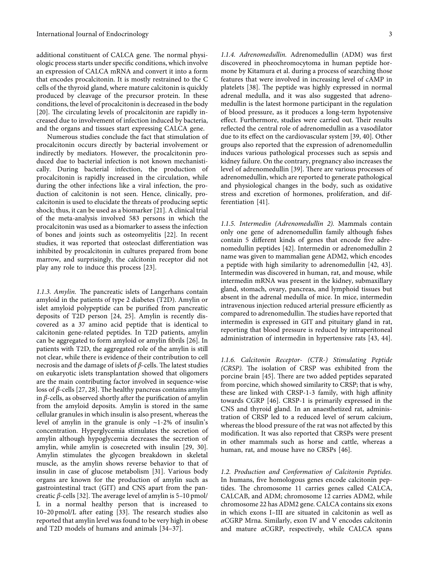additional constituent of CALCA gene. The normal physiologic process starts under specific conditions, which involve an expression of CALCA mRNA and convert it into a form that encodes procalcitonin. It is mostly restrained to the C cells of the thyroid gland, where mature calcitonin is quickly produced by cleavage of the precursor protein. In these conditions, the level of procalcitonin is decreased in the body [\[20\]](#page-12-0). The circulating levels of procalcitonin are rapidly increased due to involvement of infection induced by bacteria, and the organs and tissues start expressing CALCA gene.

Numerous studies conclude the fact that stimulation of procalcitonin occurs directly by bacterial involvement or indirectly by mediators. However, the procalcitonin produced due to bacterial infection is not known mechanistically. During bacterial infection, the production of procalcitonin is rapidly increased in the circulation, while during the other infections like a viral infection, the production of calcitonin is not seen. Hence, clinically, procalcitonin is used to elucidate the threats of producing septic shock; thus, it can be used as a biomarker[[21\]](#page-12-0). A clinical trial of the meta-analysis involved 583 persons in which the procalcitonin was used as a biomarker to assess the infection of bones and joints such as osteomyelitis [\[22\]](#page-12-0). In recent studies, it was reported that osteoclast differentiation was inhibited by procalcitonin in cultures prepared from bone marrow, and surprisingly, the calcitonin receptor did not play any role to induce this process[[23\]](#page-12-0).

1.1.3. Amylin. The pancreatic islets of Langerhans contain amyloid in the patients of type 2 diabetes (T2D). Amylin or islet amyloid polypeptide can be purified from pancreatic deposits of T2D person [\[24, 25](#page-12-0)]. Amylin is recently discovered as a 37 amino acid peptide that is identical to calcitonin gene-related peptides. In T2D patients, amylin can be aggregated to form amyloid or amylin fibrils [\[26\]](#page-12-0). In patients with T2D, the aggregated role of the amylin is still not clear, while there is evidence of their contribution to cell necrosis and the damage of islets of  $\beta$ -cells. The latest studies on eukaryotic islets transplantation showed that oligomers are the main contributing factor involved in sequence-wise lossof  $\beta$ -cells [[27](#page-12-0), [28](#page-12-0)]. The healthy pancreas contains amylin in  $\beta$ -cells, as observed shortly after the purification of amylin from the amyloid deposits. Amylin is stored in the same cellular granules in which insulin is also present, whereas the level of amylin in the granule is only ∼1-2% of insulin's concentration. Hyperglycemia stimulates the secretion of amylin although hypoglycemia decreases the secretion of amylin, while amylin is cosecreted with insulin [\[29, 30](#page-12-0)]. Amylin stimulates the glycogen breakdown in skeletal muscle, as the amylin shows reverse behavior to that of insulin in case of glucose metabolism [\[31](#page-12-0)]. Various body organs are known for the production of amylin such as gastrointestinal tract (GIT) and CNS apart from the pan-creatic $\beta$ -cells [[32](#page-12-0)]. The average level of amylin is 5–10 pmol/ L in a normal healthy person that is increased to  $10-20$  pmol/L after eating [\[33\]](#page-12-0). The research studies also reported that amylin level was found to be very high in obese and T2D models of humans and animals [\[34–37\]](#page-12-0).

1.1.4. Adrenomedullin. Adrenomedullin (ADM) was first discovered in pheochromocytoma in human peptide hormone by Kitamura et al. during a process of searching those features that were involved in increasing level of cAMP in platelets[[38](#page-12-0)]. The peptide was highly expressed in normal adrenal medulla, and it was also suggested that adrenomedullin is the latest hormone participant in the regulation of blood pressure, as it produces a long-term hypotensive effect. Furthermore, studies were carried out. Their results reflected the central role of adrenomedullin as a vasodilator due to its effect on the cardiovascular system[[39](#page-12-0), [40](#page-12-0)]. Other groups also reported that the expression of adrenomedullin induces various pathological processes such as sepsis and kidney failure. On the contrary, pregnancy also increases the levelof adrenomedullin [[39](#page-12-0)]. There are various processes of adrenomedullin, which are reported to generate pathological and physiological changes in the body, such as oxidative stress and excretion of hormones, proliferation, and differentiation[[41\]](#page-12-0).

1.1.5. Intermedin (Adrenomedullin 2). Mammals contain only one gene of adrenomedullin family although fishes contain 5 different kinds of genes that encode five adrenomedullin peptides[[42](#page-12-0)]. Intermedin or adrenomedullin 2 name was given to mammalian gene ADM2, which encodes a peptide with high similarity to adrenomedullin [\[42, 43](#page-12-0)]. Intermedin was discovered in human, rat, and mouse, while intermedin mRNA was present in the kidney, submaxillary gland, stomach, ovary, pancreas, and lymphoid tissues but absent in the adrenal medulla of mice. In mice, intermedin intravenous injection reduced arterial pressure efficiently as compared to adrenomedullin. The studies have reported that intermedin is expressed in GIT and pituitary gland in rat, reporting that blood pressure is reduced by intraperitoneal administration of intermedin in hypertensive rats[[43](#page-12-0), [44](#page-12-0)].

1.1.6. Calcitonin Receptor- (CTR-) Stimulating Peptide (CRSP). The isolation of CRSP was exhibited from the porcine brain [\[45\]](#page-12-0). There are two added peptides separated from porcine, which showed similarity to CRSP; that is why, these are linked with CRSP-1-3 family, with high affinity towards CGRP [\[46\]](#page-13-0). CRSP-1 is primarily expressed in the CNS and thyroid gland. In an anaesthetized rat, administration of CRSP led to a reduced level of serum calcium, whereas the blood pressure of the rat was not affected by this modification. It was also reported that CRSPs were present in other mammals such as horse and cattle, whereas a human, rat, and mouse have no CRSPs [\[46\]](#page-13-0).

1.2. Production and Conformation of Calcitonin Peptides. In humans, five homologous genes encode calcitonin peptides. The chromosome 11 carries genes called CALCA, CALCAB, and ADM; chromosome 12 carries ADM2, while chromosome 22 has ADM2 gene. CALCA contains six exons in which exons I–III are situated in calcitonin as well as αCGRP Mrna. Similarly, exon IV and V encodes calcitonin and mature αCGRP, respectively, while CALCA spans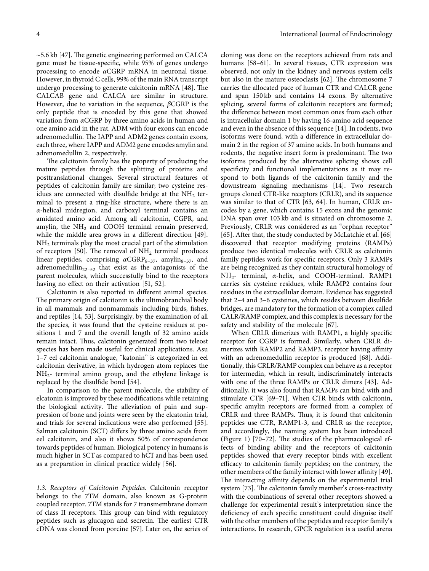∼5.6kb [[47\]](#page-13-0). The genetic engineering performed on CALCA gene must be tissue-specific, while 95% of genes undergo processing to encode αCGRP mRNA in neuronal tissue. However, in thyroid C cells, 99% of the main RNA transcript undergo processing to generate calcitonin mRNA  $[48]$ . The CALCAB gene and CALCA are similar in structure. However, due to variation in the sequence,  $\beta$ CGRP is the only peptide that is encoded by this gene that showed variation from αCGRP by three amino acids in human and one amino acid in the rat. ADM with four exons can encode adrenomedullin. The IAPP and ADM2 genes contain exons, each three, where IAPP and ADM2 gene encodes amylin and adrenomedullin 2, respectively.

The calcitonin family has the property of producing the mature peptides through the splitting of proteins and posttranslational changes. Several structural features of peptides of calcitonin family are similar; two cysteine residues are connected with disulfide bridge at the  $\mathrm{NH}_2$  terminal to present a ring-like structure, where there is an α-helical midregion, and carboxyl terminal contains an amidated amino acid. Among all calcitonin, CGPR, and amylin, the NH<sub>2</sub> and COOH terminal remain preserved, while the middle area grows in a different direction[[49](#page-13-0)].  $\rm NH_2$  terminals play the most crucial part of the stimulation of receptors [\[50\]](#page-13-0). The removal of  $NH<sub>2</sub>$  terminal produces linear peptides, comprising  $\alpha$ CGRP<sub>8–37</sub>, amylin<sub>8–37</sub>, and adrenomedullin<sub>22–52</sub> that exist as the antagonists of the parent molecules, which successfully bind to the receptors having no effect on their activation [\[51](#page-13-0), [52](#page-13-0)].

Calcitonin is also reported in different animal species. The primary origin of calcitonin is the ultimobranchial body in all mammals and nonmammals including birds, fishes, and reptiles [\[14](#page-12-0), [53\]](#page-13-0). Surprisingly, by the examination of all the species, it was found that the cysteine residues at positions 1 and 7 and the overall length of 32 amino acids remain intact. Thus, calcitonin generated from two teleost species has been made useful for clinical applications. Asu 1–7 eel calcitonin analogue, "katonin" is categorized in eel calcitonin derivative, in which hydrogen atom replaces the NH<sup>2</sup> - terminal amino group, and the ethylene linkage is replaced by the disulfide bond [\[54\]](#page-13-0).

In comparison to the parent molecule, the stability of elcatonin is improved by these modifications while retaining the biological activity. The alleviation of pain and suppression of bone and joints were seen by the elcatonin trial, and trials for several indications were also performed[[55](#page-13-0)]. Salman calcitonin (SCT) differs by three amino acids from eel calcitonin, and also it shows 50% of correspondence towards peptides of human. Biological potency in humans is much higher in SCT as compared to hCT and has been used as a preparation in clinical practice widely[[56](#page-13-0)].

1.3. Receptors of Calcitonin Peptides. Calcitonin receptor belongs to the 7TM domain, also known as G-protein coupled receptor. 7TM stands for 7 transmembrane domain of class II receptors. This group can bind with regulatory peptides such as glucagon and secretin. The earliest CTR cDNA was cloned from porcine[[57](#page-13-0)]. Later on, the series of

cloning was done on the receptors achieved from rats and humans[[58–61](#page-13-0)]. In several tissues, CTR expression was observed, not only in the kidney and nervous system cells but also in the mature osteoclasts  $[62]$ . The chromosome 7 carries the allocated pace of human CTR and CALCR gene and span 150 kb and contains 14 exons. By alternative splicing, several forms of calcitonin receptors are formed; the difference between most common ones from each other is intracellular domain 1 by having 16-amino acid sequence and even in the absence of this sequence [\[14](#page-12-0)]. In rodents, two isoforms were found, with a difference in extracellular domain 2 in the region of 37 amino acids. In both humans and rodents, the negative insert form is predominant. The two isoforms produced by the alternative splicing shows cell specificity and functional implementations as it may respond to both ligands of the calcitonin family and the downstream signaling mechanisms [\[14](#page-12-0)]. Two research groups cloned CTR-like receptors (CRLR), and its sequence was similar to that of CTR [\[63, 64\]](#page-13-0). In human, CRLR encodes by a gene, which contains 15 exons and the genomic DNA span over 103 kb and is situated on chromosome 2. Previously, CRLR was considered as an "orphan receptor" [\[65\]](#page-13-0). After that, the study conducted by McLatchie et al. [\[66\]](#page-13-0) discovered that receptor modifying proteins (RAMPs) produce two identical molecules with CRLR as calcitonin family peptides work for specific receptors. Only 3 RAMPs are being recognized as they contain structural homology of  $NH_{2}$ - terminal,  $\alpha$ -helix, and COOH-terminal. RAMP1 carries six cysteine residues, while RAMP2 contains four residues in the extracellular domain. Evidence has suggested that 2–4 and 3–6 cysteines, which resides between disulfide bridges, are mandatory for the formation of a complex called CALR/RAMP complex, and this complex is necessary for the safety and stability of the molecule[[67](#page-13-0)].

When CRLR dimerizes with RAMP1, a highly specific receptor for CGRP is formed. Similarly, when CRLR dimerizes with RAMP2 and RAMP3, receptor having affinity with an adrenomedullin receptor is produced [\[68\]](#page-13-0). Additionally, this CRLR/RAMP complex can behave as a receptor for intermedin, which in result, indiscriminately interacts with one of the three RAMPs or CRLR dimers [\[43\]](#page-12-0). Additionally, it was also found that RAMPs can bind with and stimulate CTR[[69–71\]](#page-13-0). When CTR binds with calcitonin, specific amylin receptors are formed from a complex of CRLR and three RAMPs. Thus, it is found that calcitonin peptides use CTR, RAMP1-3, and CRLR as the receptor, and accordingly, the naming system has been introduced (Figure [1\)](#page-4-0)  $[70-72]$ . The studies of the pharmacological effects of binding ability and the receptors of calcitonin peptides showed that every receptor binds with excellent efficacy to calcitonin family peptides; on the contrary, the other members of the family interact with lower affinity[[49](#page-13-0)]. The interacting affinity depends on the experimental trial system [\[73\]](#page-13-0). The calcitonin family member's cross-reactivity with the combinations of several other receptors showed a challenge for experimental result's interpretation since the deficiency of each specific constituent could disguise itself with the other members of the peptides and receptor family's interactions. In research, GPCR regulation is a useful arena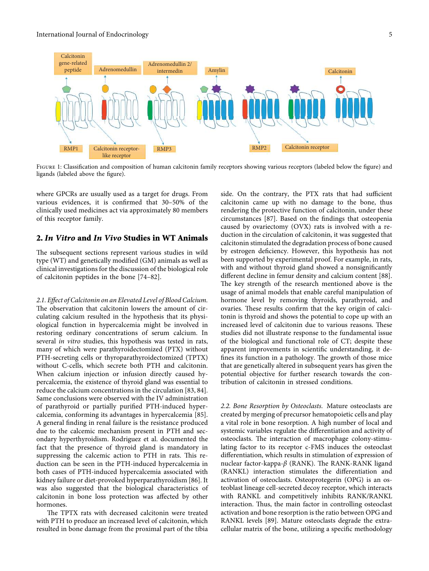<span id="page-4-0"></span>

Figure 1: Classification and composition of human calcitonin family receptors showing various receptors (labeled below the figure) and ligands (labeled above the figure).

where GPCRs are usually used as a target for drugs. From various evidences, it is confirmed that 30–50% of the clinically used medicines act via approximately 80 members of this receptor family.

# 2. In Vitro and In Vivo Studies in WT Animals

The subsequent sections represent various studies in wild type (WT) and genetically modified (GM) animals as well as clinical investigations for the discussion of the biological role of calcitonin peptides in the bone [\[74–](#page-13-0)[82](#page-14-0)].

2.1. Effect of Calcitonin on an Elevated Level of Blood Calcium. The observation that calcitonin lowers the amount of circulating calcium resulted in the hypothesis that its physiological function in hypercalcemia might be involved in restoring ordinary concentrations of serum calcium. In several *in vitro* studies, this hypothesis was tested in rats, many of which were parathyroidectomized (PTX) without PTH-secreting cells or thyroparathyroidectomized (TPTX) without C-cells, which secrete both PTH and calcitonin. When calcium injection or infusion directly caused hypercalcemia, the existence of thyroid gland was essential to reduce the calcium concentrations in the circulation [\[83, 84](#page-14-0)]. Same conclusions were observed with the IV administration of parathyroid or partially purified PTH-induced hypercalcemia, conforming its advantages in hypercalcemia[[85](#page-14-0)]. A general finding in renal failure is the resistance produced due to the calcemic mechanism present in PTH and secondary hyperthyroidism. Rodriguez et al. documented the fact that the presence of thyroid gland is mandatory in suppressing the calcemic action to PTH in rats. This reduction can be seen in the PTH-induced hypercalcemia in both cases of PTH-induced hypercalcemia associated with kidney failure or diet-provoked hyperparathyroidism [\[86\]](#page-14-0). It was also suggested that the biological characteristics of calcitonin in bone loss protection was affected by other hormones.

The TPTX rats with decreased calcitonin were treated with PTH to produce an increased level of calcitonin, which resulted in bone damage from the proximal part of the tibia

side. On the contrary, the PTX rats that had sufficient calcitonin came up with no damage to the bone, thus rendering the protective function of calcitonin, under these circumstances [\[87\]](#page-14-0). Based on the findings that osteopenia caused by ovariectomy (OVX) rats is involved with a reduction in the circulation of calcitonin, it was suggested that calcitonin stimulated the degradation process of bone caused by estrogen deficiency. However, this hypothesis has not been supported by experimental proof. For example, in rats, with and without thyroid gland showed a nonsignificantly different decline in femur density and calcium content[[88](#page-14-0)]. The key strength of the research mentioned above is the usage of animal models that enable careful manipulation of hormone level by removing thyroids, parathyroid, and ovaries. These results confirm that the key origin of calcitonin is thyroid and shows the potential to cope up with an increased level of calcitonin due to various reasons. These studies did not illustrate response to the fundamental issue of the biological and functional role of CT; despite these apparent improvements in scientific understanding, it defines its function in a pathology. The growth of those mice that are genetically altered in subsequent years has given the potential objective for further research towards the contribution of calcitonin in stressed conditions.

2.2. Bone Resorption by Osteoclasts. Mature osteoclasts are created by merging of precursor hematopoietic cells and play a vital role in bone resorption. A high number of local and systemic variables regulate the differentiation and activity of osteoclasts. The interaction of macrophage colony-stimulating factor to its receptor c-FMS induces the osteoclast differentiation, which results in stimulation of expression of nuclear factor-kappa-β (RANK). The RANK-RANK ligand (RANKL) interaction stimulates the differentiation and activation of osteoclasts. Osteoprotegerin (OPG) is an osteoblast lineage cell-secreted decoy receptor, which interacts with RANKL and competitively inhibits RANK/RANKL interaction. Thus, the main factor in controlling osteoclast activation and bone resorption is the ratio between OPG and RANKL levels[[89](#page-14-0)]. Mature osteoclasts degrade the extracellular matrix of the bone, utilizing a specific methodology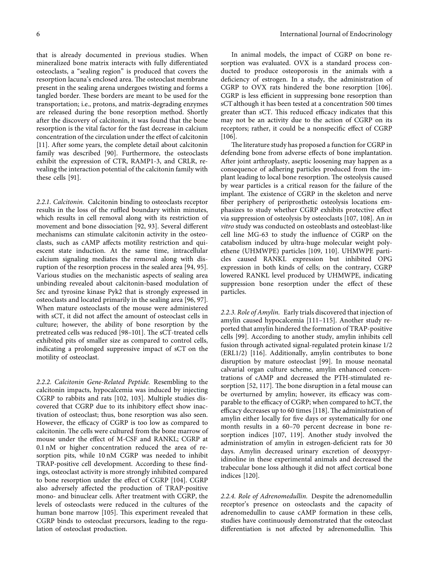that is already documented in previous studies. When mineralized bone matrix interacts with fully differentiated osteoclasts, a "sealing region" is produced that covers the resorption lacuna's enclosed area. The osteoclast membrane present in the sealing arena undergoes twisting and forms a tangled border. These borders are meant to be used for the transportation; i.e., protons, and matrix-degrading enzymes are released during the bone resorption method. Shortly after the discovery of calcitonin, it was found that the bone resorption is the vital factor for the fast decrease in calcium concentration of the circulation under the effect of calcitonin [\[11](#page-11-0)]. After some years, the complete detail about calcitonin family was described[[90](#page-14-0)]. Furthermore, the osteoclasts exhibit the expression of CTR, RAMP1-3, and CRLR, revealing the interaction potential of the calcitonin family with these cells[[91\]](#page-14-0).

2.2.1. Calcitonin. Calcitonin binding to osteoclasts receptor results in the loss of the ruffled boundary within minutes, which results in cell removal along with its restriction of movement and bone dissociation [\[92, 93\]](#page-14-0). Several different mechanisms can stimulate calcitonin activity in the osteoclasts, such as cAMP affects motility restriction and quiescent state induction. At the same time, intracellular calcium signaling mediates the removal along with disruption of the resorption process in the sealed area [\[94](#page-14-0), [95](#page-14-0)]. Various studies on the mechanistic aspects of sealing area unbinding revealed about calcitonin-based modulation of Src and tyrosine kinase Pyk2 that is strongly expressed in osteoclasts and located primarily in the sealing area[[96](#page-14-0), [97](#page-14-0)]. When mature osteoclasts of the mouse were administered with sCT, it did not affect the amount of osteoclast cells in culture; however, the ability of bone resorption by the pretreatedcells was reduced [[98](#page-14-0)–[101\]](#page-14-0). The sCT-treated cells exhibited pits of smaller size as compared to control cells, indicating a prolonged suppressive impact of sCT on the motility of osteoclast.

2.2.2. Calcitonin Gene-Related Peptide. Resembling to the calcitonin impacts, hypocalcemia was induced by injecting CGRP to rabbits and rats [\[102](#page-14-0), [103](#page-14-0)]. Multiple studies discovered that CGRP due to its inhibitory effect show inactivation of osteoclast; thus, bone resorption was also seen. However, the efficacy of CGRP is too low as compared to calcitonin. The cells were cultured from the bone marrow of mouse under the effect of M-CSF and RANKL; CGRP at 0.1 nM or higher concentration reduced the area of resorption pits, while 10 nM CGRP was needed to inhibit TRAP-positive cell development. According to these findings, osteoclast activity is more strongly inhibited compared to bone resorption under the effect of CGRP[[104](#page-14-0)]. CGRP also adversely affected the production of TRAP-positive mono- and binuclear cells. After treatment with CGRP, the levels of osteoclasts were reduced in the cultures of the human bone marrow [\[105](#page-14-0)]. This experiment revealed that CGRP binds to osteoclast precursors, leading to the regulation of osteoclast production.

In animal models, the impact of CGRP on bone resorption was evaluated. OVX is a standard process conducted to produce osteoporosis in the animals with a deficiency of estrogen. In a study, the administration of CGRP to OVX rats hindered the bone resorption[[106](#page-14-0)]. CGRP is less efficient in suppressing bone resorption than sCT although it has been tested at a concentration 500 times greater than sCT. This reduced efficacy indicates that this may not be an activity due to the action of CGRP on its receptors; rather, it could be a nonspecific effect of CGRP [\[106](#page-14-0)].

The literature study has proposed a function for CGRP in defending bone from adverse effects of bone implantation. After joint arthroplasty, aseptic loosening may happen as a consequence of adhering particles produced from the implant leading to local bone resorption. The osteolysis caused by wear particles is a critical reason for the failure of the implant. The existence of CGRP in the skeleton and nerve fiber periphery of periprosthetic osteolysis locations emphasizes to study whether CGRP exhibits protective effect via suppression of osteolysis by osteoclasts [\[107, 108](#page-15-0)]. An in vitro study was conducted on osteoblasts and osteoblast-like cell line MG-63 to study the influence of CGRP on the catabolism induced by ultra-huge molecular weight polyethene (UHMWPE) particles[[109, 110\]](#page-15-0). UHMWPE particles caused RANKL expression but inhibited OPG expression in both kinds of cells; on the contrary, CGRP lowered RANKL level produced by UHMWPE, indicating suppression bone resorption under the effect of these particles.

2.2.3. Role of Amylin. Early trials discovered that injection of amylin caused hypocalcemia[[111](#page-15-0)–[115\]](#page-15-0). Another study reported that amylin hindered the formation of TRAP-positive cells[[99](#page-14-0)]. According to another study, amylin inhibits cell fusion through activated signal-regulated protein kinase 1/2 (ERL1/2)[[116\]](#page-15-0). Additionally, amylin contributes to bone disruption by mature osteoclast [\[99\]](#page-14-0). In mouse neonatal calvarial organ culture scheme, amylin enhanced concentrations of cAMP and decreased the PTH-stimulated re-sorption $[52, 117]$  $[52, 117]$  $[52, 117]$  $[52, 117]$  $[52, 117]$ . The bone disruption in a fetal mouse can be overturned by amylin; however, its efficacy was comparable to the efficacy of CGRP; when compared to hCT, the efficacy decreases up to 60 times  $[118]$ . The administration of amylin either locally for five days or systematically for one month results in a 60–70 percent decrease in bone resorption indices[[107, 119](#page-15-0)]. Another study involved the administration of amylin in estrogen-deficient rats for 30 days. Amylin decreased urinary excretion of deoxypyridinoline in these experimental animals and decreased the trabecular bone loss although it did not affect cortical bone indices[[120\]](#page-15-0).

2.2.4. Role of Adrenomedullin. Despite the adrenomedullin receptor's presence on osteoclasts and the capacity of adrenomedullin to cause cAMP formation in these cells, studies have continuously demonstrated that the osteoclast differentiation is not affected by adrenomedullin. This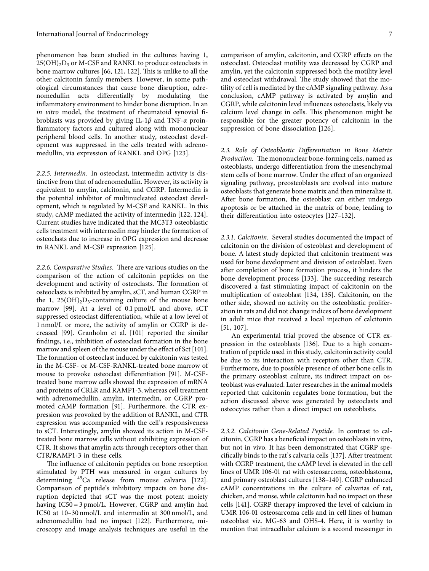phenomenon has been studied in the cultures having 1,  $25(OH)<sub>2</sub>D<sub>3</sub>$  or M-CSF and RANKL to produce osteoclasts in bone marrow cultures  $[66, 121, 122]$  $[66, 121, 122]$  $[66, 121, 122]$  $[66, 121, 122]$  $[66, 121, 122]$ . This is unlike to all the other calcitonin family members. However, in some pathological circumstances that cause bone disruption, adrenomedullin acts differentially by modulating the inflammatory environment to hinder bone disruption. In an in vitro model, the treatment of rheumatoid synovial fibroblasts was provided by giving IL-1 $\beta$  and TNF- $\alpha$  proinflammatory factors and cultured along with mononuclear peripheral blood cells. In another study, osteoclast development was suppressed in the cells treated with adrenomedullin, via expression of RANKL and OPG [\[123\]](#page-15-0).

2.2.5. Intermedin. In osteoclast, intermedin activity is distinctive from that of adrenomedullin. However, its activity is equivalent to amylin, calcitonin, and CGRP. Intermedin is the potential inhibitor of multinucleated osteoclast development, which is regulated by M-CSF and RANKL. In this study, cAMP mediated the activity of intermedin[[122](#page-15-0), [124](#page-15-0)]. Current studies have indicated that the MC3T3 osteoblastic cells treatment with intermedin may hinder the formation of osteoclasts due to increase in OPG expression and decrease in RANKL and M-CSF expression [\[125](#page-15-0)].

2.2.6. Comparative Studies. There are various studies on the comparison of the action of calcitonin peptides on the development and activity of osteoclasts. The formation of osteoclasts is inhibited by amylin, sCT, and human CGRP in the 1,  $25(OH)_{2}D_{3}$ -containing culture of the mouse bone marrow[[99](#page-14-0)]. At a level of 0.1 pmol/L and above, sCT suppressed osteoclast differentiation, while at a low level of 1 nmol/L or more, the activity of amylin or CGRP is decreased[[99](#page-14-0)]. Granholm et al. [\[101](#page-14-0)] reported the similar findings, i.e., inhibition of osteoclast formation in the bone marrow and spleen of the mouse under the effect of Sct [\[101](#page-14-0)]. The formation of osteoclast induced by calcitonin was tested in the M-CSF- or M-CSF-RANKL-treated bone marrow of mouse to provoke osteoclast differentiation [\[91](#page-14-0)]. M-CSFtreated bone marrow cells showed the expression of mRNA and proteins of CRLR and RAMP1-3, whereas cell treatment with adrenomedullin, amylin, intermedin, or CGRP promoted cAMP formation[[91](#page-14-0)]. Furthermore, the CTR expression was provoked by the addition of RANKL, and CTR expression was accompanied with the cell's responsiveness to sCT. Interestingly, amylin showed its action in M-CSFtreated bone marrow cells without exhibiting expression of CTR. It shows that amylin acts through receptors other than CTR/RAMP1-3 in these cells.

The influence of calcitonin peptides on bone resorption stimulated by PTH was measured in organ cultures by determining<sup>45</sup>Ca release from mouse calvaria [[122](#page-15-0)]. Comparison of peptide's inhibitory impacts on bone disruption depicted that sCT was the most potent moiety having  $IC50 = 3$  pmol/L. However, CGRP and amylin had IC50 at 10–30 nmol/L and intermedin at 300 nmol/L, and adrenomedullin had no impact[[122\]](#page-15-0). Furthermore, microscopy and image analysis techniques are useful in the comparison of amylin, calcitonin, and CGRP effects on the osteoclast. Osteoclast motility was decreased by CGRP and amylin, yet the calcitonin suppressed both the motility level and osteoclast withdrawal. The study showed that the motility of cell is mediated by the cAMP signaling pathway. As a conclusion, cAMP pathway is activated by amylin and CGRP, while calcitonin level influences osteoclasts, likely via calcium level change in cells. This phenomenon might be responsible for the greater potency of calcitonin in the suppression of bone dissociation [\[126](#page-15-0)].

2.3. Role of Osteoblastic Differentiation in Bone Matrix Production. The mononuclear bone-forming cells, named as osteoblasts, undergo differentiation from the mesenchymal stem cells of bone marrow. Under the effect of an organized signaling pathway, preosteoblasts are evolved into mature osteoblasts that generate bone matrix and then mineralize it. After bone formation, the osteoblast can either undergo apoptosis or be attached in the matrix of bone, leading to their differentiation into osteocytes [\[127–132\]](#page-15-0).

2.3.1. Calcitonin. Several studies documented the impact of calcitonin on the division of osteoblast and development of bone. A latest study depicted that calcitonin treatment was used for bone development and division of osteoblast. Even after completion of bone formation process, it hinders the bonedevelopment process [[133\]](#page-15-0). The succeeding research discovered a fast stimulating impact of calcitonin on the multiplication of osteoblast [\[134](#page-15-0), [135\]](#page-15-0). Calcitonin, on the other side, showed no activity on the osteoblastic proliferation in rats and did not change indices of bone development in adult mice that received a local injection of calcitonin [\[51](#page-13-0), [107](#page-15-0)].

An experimental trial proved the absence of CTR expression in the osteoblasts[[136\]](#page-15-0). Due to a high concentration of peptide used in this study, calcitonin activity could be due to its interaction with receptors other than CTR. Furthermore, due to possible presence of other bone cells in the primary osteoblast culture, its indirect impact on osteoblast was evaluated. Later researches in the animal models reported that calcitonin regulates bone formation, but the action discussed above was generated by osteoclasts and osteocytes rather than a direct impact on osteoblasts.

2.3.2. Calcitonin Gene-Related Peptide. In contrast to calcitonin, CGRP has a beneficial impact on osteoblasts in vitro, but not in vivo. It has been demonstrated that CGRP specifically binds to the rat's calvaria cells [\[137](#page-16-0)]. After treatment with CGRP treatment, the cAMP level is elevated in the cell lines of UMR 106-01 rat with osteosarcoma, osteoblastoma, and primary osteoblast cultures[[138](#page-16-0)–[140](#page-16-0)]. CGRP enhanced cAMP concentrations in the culture of calvarias of rat, chicken, and mouse, while calcitonin had no impact on these cells[[141\]](#page-16-0). CGRP therapy improved the level of calcium in UMR 106-01 osteosarcoma cells and in cell lines of human osteoblast viz. MG-63 and OHS-4. Here, it is worthy to mention that intracellular calcium is a second messenger in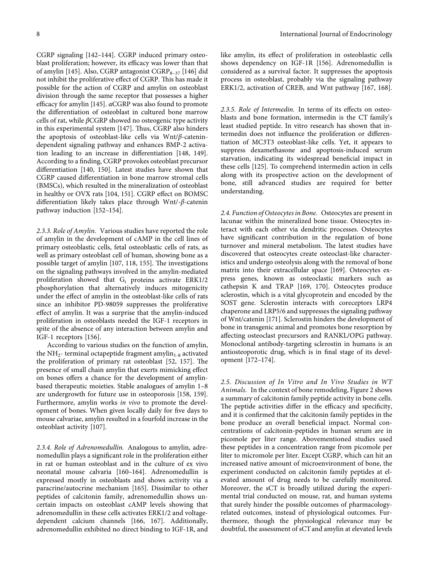CGRP signaling [\[142–144](#page-16-0)]. CGRP induced primary osteoblast proliferation; however, its efficacy was lower than that of amylin [\[145\]](#page-16-0). Also, CGRP antagonist CGRP<sub>8-37</sub> [\[146](#page-16-0)] did not inhibit the proliferative effect of CGRP. This has made it possible for the action of CGRP and amylin on osteoblast division through the same receptor that possesses a higher efficacy for amylin [\[145\]](#page-16-0).  $\alpha$ CGRP was also found to promote the differentiation of osteoblast in cultured bone marrow cells of rat, while βCGRP showed no osteogenic type activity inthis experimental system [[147](#page-16-0)]. Thus, CGRP also hinders the apoptosis of osteoblast-like cells via Wnt/β-catenindependent signaling pathway and enhances BMP-2 activation leading to an increase in differentiation [\[148, 149](#page-16-0)]. According to a finding, CGRP provokes osteoblast precursor differentiation [\[140](#page-16-0), [150](#page-16-0)]. Latest studies have shown that CGRP caused differentiation in bone marrow stromal cells (BMSCs), which resulted in the mineralization of osteoblast in healthy or OVX rats [\[104](#page-14-0), [151](#page-16-0)]. CGRP effect on BOMSC differentiation likely takes place through Wnt/-β-catenin pathway induction[[152–154\]](#page-16-0).

2.3.3. Role of Amylin. Various studies have reported the role of amylin in the development of cAMP in the cell lines of primary osteoblastic cells, fetal osteoblastic cells of rats, as well as primary osteoblast cell of human, showing bone as a possibletarget of amylin  $[107, 118, 155]$  $[107, 118, 155]$  $[107, 118, 155]$  $[107, 118, 155]$  $[107, 118, 155]$ . The investigations on the signaling pathways involved in the amylin-mediated proliferation showed that G<sub>i</sub> proteins activate ERK1/2 phosphorylation that alternatively induces mitogenicity under the effect of amylin in the osteoblast-like cells of rats since an inhibitor PD-98059 suppresses the proliferative effect of amylin. It was a surprise that the amylin-induced proliferation in osteoblasts needed the IGF-1 receptors in spite of the absence of any interaction between amylin and IGF-1 receptors [\[156](#page-16-0)].

According to various studies on the function of amylin, the NH<sub>2</sub>- terminal octapeptide fragment amylin<sub>1-8</sub> activated the proliferation of primary rat osteoblast  $[52, 157]$  $[52, 157]$  $[52, 157]$ . The presence of small chain amylin that exerts mimicking effect on bones offers a chance for the development of amylinbased therapeutic moieties. Stable analogues of amylin 1–8 are undergrowth for future use in osteoporosis [\[158](#page-16-0), [159](#page-16-0)]. Furthermore, amylin works in vivo to promote the development of bones. When given locally daily for five days to mouse calvariae, amylin resulted in a fourfold increase in the osteoblast activity[[107\]](#page-15-0).

2.3.4. Role of Adrenomedullin. Analogous to amylin, adrenomedullin plays a significant role in the proliferation either in rat or human osteoblast and in the culture of ex vivo neonatal mouse calvaria [\[160–164\]](#page-16-0). Adrenomedullin is expressed mostly in osteoblasts and shows activity via a paracrine/autocrine mechanism [\[165\]](#page-16-0). Dissimilar to other peptides of calcitonin family, adrenomedullin shows uncertain impacts on osteoblast cAMP levels showing that adrenomedullin in these cells activates ERK1/2 and voltagedependent calcium channels[[166, 167](#page-17-0)]. Additionally, adrenomedullin exhibited no direct binding to IGF-1R, and like amylin, its effect of proliferation in osteoblastic cells shows dependency on IGF-1R [\[156](#page-16-0)]. Adrenomedullin is considered as a survival factor. It suppresses the apoptosis process in osteoblast, probably via the signaling pathway ERK1/2, activation of CREB, and Wnt pathway[[167, 168](#page-17-0)].

2.3.5. Role of Intermedin. In terms of its effects on osteoblasts and bone formation, intermedin is the CT family's least studied peptide. In vitro research has shown that intermedin does not influence the proliferation or differentiation of MC3T3 osteoblast-like cells. Yet, it appears to suppress dexamethasone and apoptosis-induced serum starvation, indicating its widespread beneficial impact in these cells[[125\]](#page-15-0). To comprehend intermedin action in cells along with its prospective action on the development of bone, still advanced studies are required for better understanding.

2.4. Function of Osteocytes in Bone. Osteocytes are present in lacunae within the mineralized bone tissue. Osteocytes interact with each other via dendritic processes. Osteocytes have significant contribution in the regulation of bone turnover and mineral metabolism. The latest studies have discovered that osteocytes create osteoclast-like characteristics and undergo osteolysis along with the removal of bone matrix into their extracellular space[[169\]](#page-17-0). Osteocytes express genes, known as osteoclastic markers such as cathepsin K and TRAP[[169, 170\]](#page-17-0). Osteocytes produce sclerostin, which is a vital glycoprotein and encoded by the SOST gene. Sclerostin interacts with coreceptors LRP4 chaperone and LRP5/6 and suppresses the signaling pathway of Wnt/catenin [\[171](#page-17-0)]. Sclerostin hinders the development of bone in transgenic animal and promotes bone resorption by affecting osteoclast precursors and RANKL/OPG pathway. Monoclonal antibody-targeting sclerostin in humans is an antiosteoporotic drug, which is in final stage of its development[[172–174\]](#page-17-0).

2.5. Discussion of In Vitro and In Vivo Studies in WT Animals. In the context of bone remodeling, Figure [2](#page-8-0) shows a summary of calcitonin family peptide activity in bone cells. The peptide activities differ in the efficacy and specificity, and it is confirmed that the calcitonin family peptides in the bone produce an overall beneficial impact. Normal concentrations of calcitonin-peptides in human serum are in picomole per liter range. Abovementioned studies used these peptides in a concentration range from picomole per liter to micromole per liter. Except CGRP, which can hit an increased native amount of microenvironment of bone, the experiment conducted on calcitonin family peptides at elevated amount of drug needs to be carefully monitored. Moreover, the sCT is broadly utilized during the experimental trial conducted on mouse, rat, and human systems that surely hinder the possible outcomes of pharmacologyrelated outcomes, instead of physiological outcomes. Furthermore, though the physiological relevance may be doubtful, the assessment of sCT and amylin at elevated levels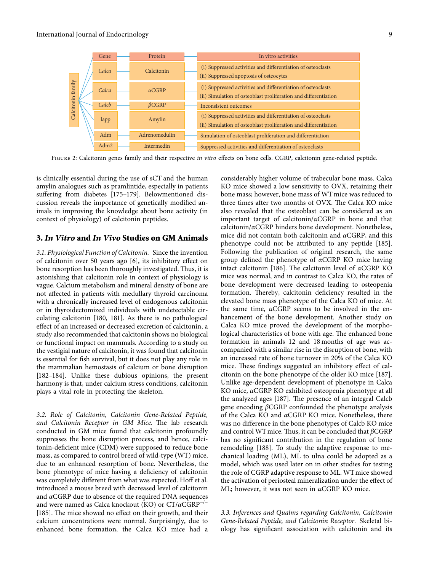<span id="page-8-0"></span>

FIGURE 2: Calcitonin genes family and their respective in vitro effects on bone cells. CGRP, calcitonin gene-related peptide.

is clinically essential during the use of sCT and the human amylin analogues such as pramlintide, especially in patients suffering from diabetes [\[175–179](#page-17-0)]. Belowmentioned discussion reveals the importance of genetically modified animals in improving the knowledge about bone activity (in context of physiology) of calcitonin peptides.

## 3. In Vitro and In Vivo Studies on GM Animals

3.1. Physiological Function of Calcitonin. Since the invention of calcitonin over 50 years ago [\[6\]](#page-11-0), its inhibitory effect on bone resorption has been thoroughly investigated. Thus, it is astonishing that calcitonin role in context of physiology is vague. Calcium metabolism and mineral density of bone are not affected in patients with medullary thyroid carcinoma with a chronically increased level of endogenous calcitonin or in thyroidectomized individuals with undetectable circulating calcitonin [\[180](#page-17-0), [181](#page-17-0)]. As there is no pathological effect of an increased or decreased excretion of calcitonin, a study also recommended that calcitonin shows no biological or functional impact on mammals. According to a study on the vestigial nature of calcitonin, it was found that calcitonin is essential for fish survival, but it does not play any role in the mammalian hemostasis of calcium or bone disruption [\[182–184](#page-17-0)]. Unlike these dubious opinions, the present harmony is that, under calcium stress conditions, calcitonin plays a vital role in protecting the skeleton.

3.2. Role of Calcitonin, Calcitonin Gene-Related Peptide, and Calcitonin Receptor in GM Mice. The lab research conducted in GM mice found that calcitonin profoundly suppresses the bone disruption process, and hence, calcitonin-deficient mice (CDM) were supposed to reduce bone mass, as compared to control breed of wild-type (WT) mice, due to an enhanced resorption of bone. Nevertheless, the bone phenotype of mice having a deficiency of calcitonin was completely different from what was expected. Hoff et al. introduced a mouse breed with decreased level of calcitonin and  $\alpha$ CGRP due to absence of the required DNA sequences and were named as Calca knockout (KO) or  $CT/\alpha CGRP^{-/-}$ [\[185](#page-17-0)]. The mice showed no effect on their growth, and their calcium concentrations were normal. Surprisingly, due to enhanced bone formation, the Calca KO mice had a

considerably higher volume of trabecular bone mass. Calca KO mice showed a low sensitivity to OVX, retaining their bone mass; however, bone mass of WT mice was reduced to three times after two months of OVX. The Calca KO mice also revealed that the osteoblast can be considered as an important target of calcitonin/αCGRP in bone and that calcitonin/αCGRP hinders bone development. Nonetheless, mice did not contain both calcitonin and  $\alpha$ CGRP, and this phenotype could not be attributed to any peptide[[185](#page-17-0)]. Following the publication of original research, the same group defined the phenotype of αCGRP KO mice having intact calcitonin [\[186\]](#page-17-0). The calcitonin level of  $\alpha$ CGRP KO mice was normal, and in contrast to Calca KO, the rates of bone development were decreased leading to osteopenia formation. Thereby, calcitonin deficiency resulted in the elevated bone mass phenotype of the Calca KO of mice. At the same time, αCGRP seems to be involved in the enhancement of the bone development. Another study on Calca KO mice proved the development of the morphological characteristics of bone with age. The enhanced bone formation in animals 12 and 18 months of age was accompanied with a similar rise in the disruption of bone, with an increased rate of bone turnover in 20% of the Calca KO mice. These findings suggested an inhibitory effect of calcitonin on the bone phenotype of the older KO mice[[187](#page-17-0)]. Unlike age-dependent development of phenotype in Calca KO mice, αCGRP KO exhibited osteopenia phenotype at all the analyzed ages [\[187](#page-17-0)]. The presence of an integral Calcb gene encoding βCGRP confounded the phenotype analysis of the Calca KO and αCGRP KO mice. Nonetheless, there was no difference in the bone phenotypes of Calcb KO mice and control WT mice. Thus, it can be concluded that  $\beta$ CGRP has no significant contribution in the regulation of bone remodeling[[188](#page-17-0)]. To study the adaptive response to mechanical loading (ML), ML to ulna could be adopted as a model, which was used later on in other studies for testing the role of CGRP adaptive response to ML. WTmice showed the activation of periosteal mineralization under the effect of ML; however, it was not seen in αCGRP KO mice.

3.3. Inferences and Qualms regarding Calcitonin, Calcitonin Gene-Related Peptide, and Calcitonin Receptor. Skeletal biology has significant association with calcitonin and its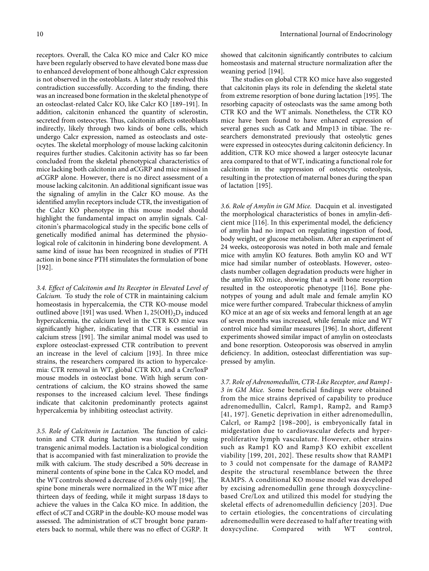receptors. Overall, the Calca KO mice and Calcr KO mice have been regularly observed to have elevated bone mass due to enhanced development of bone although Calcr expression is not observed in the osteoblasts. A later study resolved this contradiction successfully. According to the finding, there was an increased bone formation in the skeletal phenotype of an osteoclast-related Calcr KO, like Calcr KO [\[189–191\]](#page-17-0). In addition, calcitonin enhanced the quantity of sclerostin, secreted from osteocytes. Thus, calcitonin affects osteoblasts indirectly, likely through two kinds of bone cells, which undergo Calcr expression, named as osteoclasts and osteocytes. The skeletal morphology of mouse lacking calcitonin requires further studies. Calcitonin activity has so far been concluded from the skeletal phenotypical characteristics of mice lacking both calcitonin and  $\alpha$ CGRP and mice missed in αCGRP alone. However, there is no direct assessment of a mouse lacking calcitonin. An additional significant issue was the signaling of amylin in the Calcr KO mouse. As the identified amylin receptors include CTR, the investigation of the Calcr KO phenotype in this mouse model should highlight the fundamental impact on amylin signals. Calcitonin's pharmacological study in the specific bone cells of genetically modified animal has determined the physiological role of calcitonin in hindering bone development. A same kind of issue has been recognized in studies of PTH action in bone since PTH stimulates the formulation of bone [\[192](#page-17-0)].

3.4. Effect of Calcitonin and Its Receptor in Elevated Level of Calcium. To study the role of CTR in maintaining calcium homeostasis in hypercalcemia, the CTR KO-mouse model outlinedabove [[191\]](#page-17-0) was used. When  $1, 25(OH)_{2}D_{3}$  induced hypercalcemia, the calcium level in the CTR KO mice was significantly higher, indicating that CTR is essential in calciumstress [[191](#page-17-0)]. The similar animal model was used to explore osteoclast-expressed CTR contribution to prevent an increase in the level of calcium[[193](#page-17-0)]. In three mice strains, the researchers compared its action to hypercalcemia: CTR removal in WT, global CTR KO, and a Cre/loxP mouse models in osteoclast bone. With high serum concentrations of calcium, the KO strains showed the same responses to the increased calcium level. These findings indicate that calcitonin predominantly protects against hypercalcemia by inhibiting osteoclast activity.

3.5. Role of Calcitonin in Lactation. The function of calcitonin and CTR during lactation was studied by using transgenic animal models. Lactation is a biological condition that is accompanied with fast mineralization to provide the milk with calcium. The study described a 50% decrease in mineral contents of spine bone in the Calca KO model, and the WT controls showed a decrease of  $23.6\%$  only [\[194](#page-17-0)]. The spine bone minerals were normalized in the WT mice after thirteen days of feeding, while it might surpass 18 days to achieve the values in the Calca KO mice. In addition, the effect of sCT and CGRP in the double-KO mouse model was assessed. The administration of sCT brought bone parameters back to normal, while there was no effect of CGRP. It

showed that calcitonin significantly contributes to calcium homeostasis and maternal structure normalization after the weaning period[[194\]](#page-17-0).

The studies on global CTR KO mice have also suggested that calcitonin plays its role in defending the skeletal state from extreme resorption of bone during lactation [\[195](#page-17-0)]. The resorbing capacity of osteoclasts was the same among both CTR KO and the WT animals. Nonetheless, the CTR KO mice have been found to have enhanced expression of several genes such as Catk and Mmp13 in tibiae. The researchers demonstrated previously that osteolytic genes were expressed in osteocytes during calcitonin deficiency. In addition, CTR KO mice showed a larger osteocyte lacunar area compared to that of WT, indicating a functional role for calcitonin in the suppression of osteocytic osteolysis, resulting in the protection of maternal bones during the span of lactation[[195\]](#page-17-0).

3.6. Role of Amylin in GM Mice. Dacquin et al. investigated the morphological characteristics of bones in amylin-deficient mice[[116\]](#page-15-0). In this experimental model, the deficiency of amylin had no impact on regulating ingestion of food, body weight, or glucose metabolism. After an experiment of 24 weeks, osteoporosis was noted in both male and female mice with amylin KO features. Both amylin KO and WT mice had similar number of osteoblasts. However, osteoclasts number collagen degradation products were higher in the amylin KO mice, showing that a swift bone resorption resulted in the osteoporotic phenotype [\[116\]](#page-15-0). Bone phenotypes of young and adult male and female amylin KO mice were further compared. Trabecular thickness of amylin KO mice at an age of six weeks and femoral length at an age of seven months was increased, while female mice and WT control mice had similar measures[[196\]](#page-17-0). In short, different experiments showed similar impact of amylin on osteoclasts and bone resorption. Osteoporosis was observed in amylin deficiency. In addition, osteoclast differentiation was suppressed by amylin.

3.7. Role of Adrenomedullin, CTR-Like Receptor, and Ramp1- 3 in GM Mice. Some beneficial findings were obtained from the mice strains deprived of capability to produce adrenomedullin, Calcrl, Ramp1, Ramp2, and Ramp3 [[41](#page-12-0), [197\]](#page-17-0). Genetic deprivation in either adrenomedullin, Calcrl, or Ramp2 [\[198–200](#page-18-0)], is embryonically fatal in midgestation due to cardiovascular defects and hyperproliferative lymph vasculature. However, other strains such as Ramp1 KO and Ramp3 KO exhibit excellent viability[[199, 201, 202](#page-18-0)]. These results show that RAMP1 to 3 could not compensate for the damage of RAMP2 despite the structural resemblance between the three RAMPS. A conditional KO mouse model was developed by excising adrenomedullin gene through doxycyclinebased Cre/Lox and utilized this model for studying the skeletal effects of adrenomedullin deficiency[[203](#page-18-0)]. Due to certain etiologies, the concentrations of circulating adrenomedullin were decreased to half after treating with doxycycline. Compared with WT control,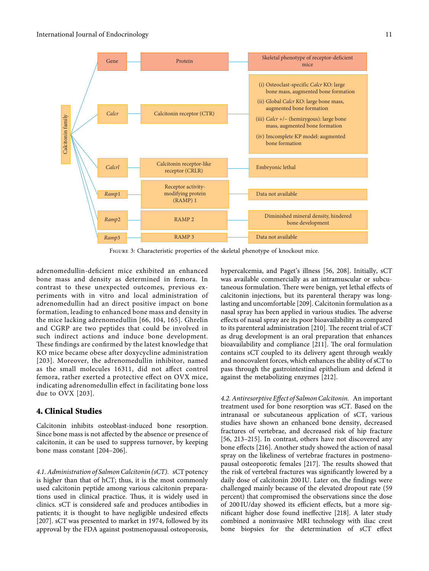<span id="page-10-0"></span>

Figure 3: Characteristic properties of the skeletal phenotype of knockout mice.

adrenomedullin-deficient mice exhibited an enhanced bone mass and density as determined in femora. In contrast to these unexpected outcomes, previous experiments with in vitro and local administration of adrenomedullin had an direct positive impact on bone formation, leading to enhanced bone mass and density in the mice lacking adrenomedullin [\[66](#page-13-0), [104,](#page-14-0) [165](#page-16-0)]. Ghrelin and CGRP are two peptides that could be involved in such indirect actions and induce bone development. These findings are confirmed by the latest knowledge that KO mice became obese after doxycycline administration [[203\]](#page-18-0). Moreover, the adrenomedullin inhibitor, named as the small molecules 16311, did not affect control femora, rather exerted a protective effect on OVX mice, indicating adrenomedullin effect in facilitating bone loss due to OVX[[203](#page-18-0)].

# 4. Clinical Studies

Calcitonin inhibits osteoblast-induced bone resorption. Since bone mass is not affected by the absence or presence of calcitonin, it can be used to suppress turnover, by keeping bone mass constant [\[204–206](#page-18-0)].

4.1. Administration of Salmon Calcitonin (sCT). sCT potency is higher than that of hCT; thus, it is the most commonly used calcitonin peptide among various calcitonin preparations used in clinical practice. Thus, it is widely used in clinics. sCT is considered safe and produces antibodies in patients; it is thought to have negligible undesired effects [\[207\]](#page-18-0). sCT was presented to market in 1974, followed by its approval by the FDA against postmenopausal osteoporosis,

hypercalcemia, and Paget's illness[[56](#page-13-0), [208\]](#page-18-0). Initially, sCT was available commercially as an intramuscular or subcutaneous formulation. There were benign, yet lethal effects of calcitonin injections, but its parenteral therapy was longlasting and uncomfortable[[209](#page-18-0)]. Calcitonin formulation as a nasal spray has been applied in various studies. The adverse effects of nasal spray are its poor bioavailability as compared toits parenteral administration [[210](#page-18-0)]. The recent trial of  $sCT$ as drug development is an oral preparation that enhances bioavailability and compliance [\[211](#page-18-0)]. The oral formulation contains sCT coupled to its delivery agent through weakly and noncovalent forces, which enhances the ability of sCT to pass through the gastrointestinal epithelium and defend it against the metabolizing enzymes [\[212\]](#page-18-0).

4.2. Antiresorptive Effect of Salmon Calcitonin. An important treatment used for bone resorption was sCT. Based on the intranasal or subcutaneous application of sCT, various studies have shown an enhanced bone density, decreased fractures of vertebrae, and decreased risk of hip fracture [\[56,](#page-13-0) [213–215\]](#page-18-0). In contrast, others have not discovered any bone effects[[216\]](#page-18-0). Another study showed the action of nasal spray on the likeliness of vertebrae fractures in postmeno-pausal osteoporotic females [\[217](#page-18-0)]. The results showed that the risk of vertebral fractures was significantly lowered by a daily dose of calcitonin 200 IU. Later on, the findings were challenged mainly because of the elevated dropout rate (59 percent) that compromised the observations since the dose of 200 IU/day showed its efficient effects, but a more significant higher dose found ineffective [\[218](#page-18-0)]. A later study combined a noninvasive MRI technology with iliac crest bone biopsies for the determination of sCT effect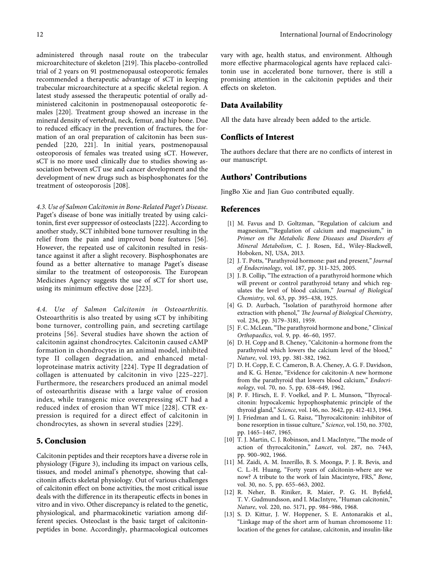<span id="page-11-0"></span>administered through nasal route on the trabecular microarchitectureof skeleton [[219](#page-18-0)]. This placebo-controlled trial of 2 years on 91 postmenopausal osteoporotic females recommended a therapeutic advantage of sCT in keeping trabecular microarchitecture at a specific skeletal region. A latest study assessed the therapeutic potential of orally administered calcitonin in postmenopausal osteoporotic females[[220](#page-18-0)]. Treatment group showed an increase in the mineral density of vertebral, neck, femur, and hip bone. Due to reduced efficacy in the prevention of fractures, the formation of an oral preparation of calcitonin has been suspended [\[220, 221](#page-18-0)]. In initial years, postmenopausal osteoporosis of females was treated using sCT. However, sCT is no more used clinically due to studies showing association between sCT use and cancer development and the development of new drugs such as bisphosphonates for the treatment of osteoporosis[[208](#page-18-0)].

4.3. Use of Salmon Calcitonin in Bone-Related Paget's Disease. Paget's disease of bone was initially treated by using calcitonin, first ever suppressor of osteoclasts[[222](#page-18-0)]. According to another study, SCT inhibited bone turnover resulting in the relief from the pain and improved bone features[[56](#page-13-0)]. However, the repeated use of calcitonin resulted in resistance against it after a slight recovery. Bisphosphonates are found as a better alternative to manage Paget's disease similar to the treatment of osteoporosis. The European Medicines Agency suggests the use of sCT for short use, using its minimum effective dose[[223](#page-18-0)].

4.4. Use of Salmon Calcitonin in Osteoarthritis. Osteoarthritis is also treated by using sCT by inhibiting bone turnover, controlling pain, and secreting cartilage proteins [\[56](#page-13-0)]. Several studies have shown the action of calcitonin against chondrocytes. Calcitonin caused cAMP formation in chondrocytes in an animal model, inhibited type II collagen degradation, and enhanced metalloproteinase matrix activity[[224\]](#page-18-0). Type II degradation of collagen is attenuated by calcitonin in vivo[[225–227](#page-18-0)]. Furthermore, the researchers produced an animal model of osteoarthritis disease with a large value of erosion index, while transgenic mice overexpressing sCT had a reduced index of erosion than WT mice [\[228](#page-19-0)]. CTR expression is required for a direct effect of calcitonin in chondrocytes, as shown in several studies [\[229](#page-19-0)].

# 5. Conclusion

Calcitonin peptides and their receptors have a diverse role in physiology (Figure [3\)](#page-10-0), including its impact on various cells, tissues, and model animal's phenotype, showing that calcitonin affects skeletal physiology. Out of various challenges of calcitonin effect on bone activities, the most critical issue deals with the difference in its therapeutic effects in bones in vitro and in vivo. Other discrepancy is related to the genetic, physiological, and pharmacokinetic variation among different species. Osteoclast is the basic target of calcitoninpeptides in bone. Accordingly, pharmacological outcomes

vary with age, health status, and environment. Although more effective pharmacological agents have replaced calcitonin use in accelerated bone turnover, there is still a promising attention in the calcitonin peptides and their effects on skeleton.

## Data Availability

All the data have already been added to the article.

#### Conflicts of Interest

The authors declare that there are no conflicts of interest in our manuscript.

### Authors' Contributions

JingBo Xie and Jian Guo contributed equally.

#### References

- [1] M. Favus and D. Goltzman, "Regulation of calcium and magnesium,""Regulation of calcium and magnesium," in Primer on the Metabolic Bone Diseases and Disorders of Mineral Metabolism, C. J. Rosen, Ed., Wiley-Blackwell, Hoboken, NJ, USA, 2013.
- [2] J. T. Potts, "Parathyroid hormone: past and present," Journal of Endocrinology, vol. 187, pp. 311–325, 2005.
- [3] J. B. Collip, "The extraction of a parathyroid hormone which will prevent or control parathyroid tetany and which regulates the level of blood calcium," Journal of Biological Chemistry, vol. 63, pp. 395–438, 1925.
- [4] G. D. Aurbach, "Isolation of parathyroid hormone after extraction with phenol," The Journal of Biological Chemistry, vol. 234, pp. 3179–3181, 1959.
- [5] F. C. McLean, "The parathyroid hormone and bone," Clinical Orthopaedics, vol. 9, pp. 46–60, 1957.
- [6] D. H. Copp and B. Cheney, "Calcitonin-a hormone from the parathyroid which lowers the calcium level of the blood," Nature, vol. 193, pp. 381-382, 1962.
- [7] D. H. Copp, E. C. Cameron, B. A. Cheney, A. G. F. Davidson, and K. G. Henze, "Evidence for calcitonin-A new hormone from the parathyroid that lowers blood calcium," Endocrinology, vol. 70, no. 5, pp. 638–649, 1962.
- [8] P. F. Hirsch, E. F. Voelkel, and P. L. Munson, "Thyrocalcitonin: hypocalcemic hypophosphatemic principle of the thyroid gland," Science, vol. 146, no. 3642, pp. 412-413, 1964.
- [9] J. Friedman and L. G. Raisz, "Thyrocalcitonin: inhibitor of bone resorption in tissue culture," Science, vol. 150, no. 3702, pp. 1465–1467, 1965.
- [10] T. J. Martin, C. J. Robinson, and I. MacIntyre, "The mode of action of thyrocalcitonin," Lancet, vol. 287, no. 7443, pp. 900–902, 1966.
- [11] M. Zaidi, A. M. Inzerillo, B. S. Moonga, P. J. R. Bevis, and C. L.-H. Huang, "Forty years of calcitonin-where are we now? A tribute to the work of Iain Macintyre, FRS," Bone, vol. 30, no. 5, pp. 655–663, 2002.
- [12] R. Neher, B. Riniker, R. Maier, P. G. H. Byfield, T. V. Gudmundsson, and I. MacIntyre, "Human calcitonin," Nature, vol. 220, no. 5171, pp. 984–986, 1968.
- [13] S. D. Kittur, J. W. Hoppener, S. E. Antonarakis et al., "Linkage map of the short arm of human chromosome 11: location of the genes for catalase, calcitonin, and insulin-like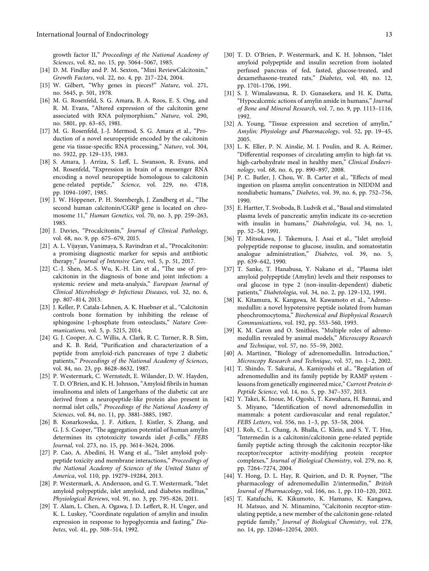<span id="page-12-0"></span>growth factor II," Proceedings of the National Academy of Sciences, vol. 82, no. 15, pp. 5064–5067, 1985.

- [14] D. M. Findlay and P. M. Sexton, "Mini ReviewCalcitonin," Growth Factors, vol. 22, no. 4, pp. 217–224, 2004.
- [15] W. Gilbert, "Why genes in pieces?" Nature, vol. 271, no. 5645, p. 501, 1978.
- [16] M. G. Rosenfeld, S. G. Amara, B. A. Roos, E. S. Ong, and R. M. Evans, "Altered expression of the calcitonin gene associated with RNA polymorphism," Nature, vol. 290, no. 5801, pp. 63–65, 1981.
- [17] M. G. Rosenfeld, J.-J. Mermod, S. G. Amara et al., "Production of a novel neuropeptide encoded by the calcitonin gene via tissue-specific RNA processing," Nature, vol. 304, no. 5922, pp. 129–135, 1983.
- [18] S. Amara, J. Arriza, S. Leff, L. Swanson, R. Evans, and M. Rosenfeld, "Expression in brain of a messenger RNA encoding a novel neuropeptide homologous to calcitonin gene-related peptide," Science, vol. 229, no. 4718, pp. 1094–1097, 1985.
- [19] J. W. Höppener, P. H. Steenbergh, J. Zandberg et al., "The second human calcitonin/CGRP gene is located on chromosome 11," Human Genetics, vol. 70, no. 3, pp. 259–263, 1985.
- [20] J. Davies, "Procalcitonin," Journal of Clinical Pathology, vol. 68, no. 9, pp. 675–679, 2015.
- [21] A. L. Vijayan, Vanimaya, S. Ravindran et al., "Procalcitonin: a promising diagnostic marker for sepsis and antibiotic therapy," Journal of Intensive Care, vol. 5, p. 51, 2017.
- [22] C.-J. Shen, M.-S. Wu, K.-H. Lin et al., "The use of procalcitonin in the diagnosis of bone and joint infection: a systemic review and meta-analysis," European Journal of Clinical Microbiology & Infectious Diseases, vol. 32, no. 6, pp. 807–814, 2013.
- [23] J. Keller, P. Catala-Lehnen, A. K. Huebner et al., "Calcitonin controls bone formation by inhibiting the release of sphingosine 1-phosphate from osteoclasts," Nature Communications, vol. 5, p. 5215, 2014.
- [24] G. J. Cooper, A. C. Willis, A. Clark, R. C. Turner, R. B. Sim, and K. B. Reid, "Purification and characterization of a peptide from amyloid-rich pancreases of type 2 diabetic patients," Proceedings of the National Academy of Sciences, vol. 84, no. 23, pp. 8628–8632, 1987.
- [25] P. Westermark, C. Wernstedt, E. Wilander, D. W. Hayden, T. D. O'Brien, and K. H. Johnson, "Amyloid fibrils in human insulinoma and islets of Langerhans of the diabetic cat are derived from a neuropeptide-like protein also present in normal islet cells," Proceedings of the National Academy of Sciences, vol. 84, no. 11, pp. 3881–3885, 1987.
- [26] B. Konarkowska, J. F. Aitken, J. Kistler, S. Zhang, and G. J. S. Cooper, "The aggregation potential of human amylin determines its cytotoxicity towards islet  $\beta$ -cells," FEBS Journal, vol. 273, no. 15, pp. 3614–3624, 2006.
- [27] P. Cao, A. Abedini, H. Wang et al., "Islet amyloid polypeptide toxicity and membrane interactions," Proceedings of the National Academy of Sciences of the United States of America, vol. 110, pp. 19279–19284, 2013.
- [28] P. Westermark, A. Andersson, and G. T. Westermark, "Islet amyloid polypeptide, islet amyloid, and diabetes mellitus," Physiological Reviews, vol. 91, no. 3, pp. 795–826, 2011.
- [29] T. Alam, L. Chen, A. Ogawa, J. D. Leffert, R. H. Unger, and K. L. Luskey, "Coordinate regulation of amylin and insulin expression in response to hypoglycemia and fasting," Diabetes, vol. 41, pp. 508–514, 1992.
- [30] T. D. O'Brien, P. Westermark, and K. H. Johnson, "Islet amyloid polypeptide and insulin secretion from isolated perfused pancreas of fed, fasted, glucose-treated, and dexamethasone-treated rats," Diabetes, vol. 40, no. 12, pp. 1701–1706, 1991.
- [31] S. J. Wimalawansa, R. D. Gunasekera, and H. K. Datta, "Hypocalcemic actions of amylin amide in humans," Journal of Bone and Mineral Research, vol. 7, no. 9, pp. 1113–1116, 1992.
- [32] A. Young, "Tissue expression and secretion of amylin," Amylin: Physiology and Pharmacology, vol. 52, pp. 19–45, 2005.
- [33] L. K. Eller, P. N. Ainslie, M. J. Poulin, and R. A. Reimer, "Differential responses of circulating amylin to high-fat vs. high-carbohydrate meal in healthy men," Clinical Endocrinology, vol. 68, no. 6, pp. 890–897, 2008.
- [34] P. C. Butler, J. Chou, W. B. Carter et al., "Effects of meal ingestion on plasma amylin concentration in NIDDM and nondiabetic humans," Diabetes, vol. 39, no. 6, pp. 752–756, 1990.
- [35] E. Hartter, T. Svoboda, B. Ludvik et al., "Basal and stimulated plasma levels of pancreatic amylin indicate its co-secretion with insulin in humans," Diabetologia, vol. 34, no. 1, pp. 52–54, 1991.
- [36] T. Mitsukawa, J. Takemura, J. Asai et al., "Islet amyloid polypeptide response to glucose, insulin, and somatostatin analogue administration," Diabetes, vol. 39, no. 5, pp. 639–642, 1990.
- [37] T. Sanke, T. Hanabusa, Y. Nakano et al., "Plasma islet amyloid polypeptide (Amylin) levels and their responses to oral glucose in type 2 (non-insulin-dependent) diabetic patients," Diabetologia, vol. 34, no. 2, pp. 129–132, 1991.
- [38] K. Kitamura, K. Kangawa, M. Kawamoto et al., "Adrenomedullin: a novel hypotensive peptide isolated from human pheochromocytoma," Biochemical and Biophysical Research Communications, vol. 192, pp. 553–560, 1993.
- [39] K. M. Caron and O. Smithies, "Multiple roles of adrenomedullin revealed by animal models," Microscopy Research and Technique, vol. 57, no. 55–59, 2002.
- [40] A. Martínez, "Biology of adrenomedullin. Introduction," Microscopy Research and Technique, vol. 57, no. 1–2, 2002.
- [41] T. Shindo, T. Sakurai, A. Kamiyoshi et al., "Regulation of adrenomedullin and its family peptide by RAMP system lessons from genetically engineered mice," Current Protein & Peptide Science, vol. 14, no. 5, pp. 347–357, 2013.
- [42] Y. Takei, K. Inoue, M. Ogoshi, T. Kawahara, H. Bannai, and S. Miyano, "Identification of novel adrenomedullin in mammals: a potent cardiovascular and renal regulator," FEBS Letters, vol. 556, no. 1–3, pp. 53–58, 2004.
- [43] J. Roh, C. L. Chang, A. Bhalla, C. Klein, and S. Y. T. Hsu, "Intermedin is a calcitonin/calcitonin gene-related peptide family peptide acting through the calcitonin receptor-like receptor/receptor activity-modifying protein receptor complexes," Journal of Biological Chemistry, vol. 279, no. 8, pp. 7264–7274, 2004.
- [44] Y. Hong, D. L. Hay, R. Quirion, and D. R. Poyner, "The pharmacology of adrenomedullin 2/intermedin," British Journal of Pharmacology, vol. 166, no. 1, pp. 110–120, 2012.
- [45] T. Katafuchi, K. Kikumoto, K. Hamano, K. Kangawa, H. Matsuo, and N. Minamino, "Calcitonin receptor-stimulating peptide, a new member of the calcitonin gene-related peptide family," Journal of Biological Chemistry, vol. 278, no. 14, pp. 12046–12054, 2003.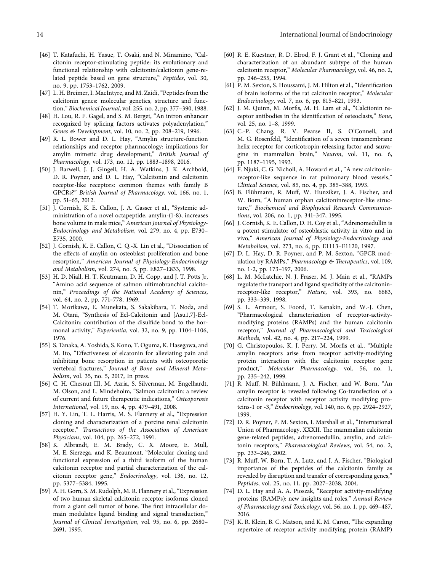- <span id="page-13-0"></span>[46] T. Katafuchi, H. Yasue, T. Osaki, and N. Minamino, "Calcitonin receptor-stimulating peptide: its evolutionary and functional relationship with calcitonin/calcitonin gene-related peptide based on gene structure," Peptides, vol. 30, no. 9, pp. 1753–1762, 2009.
- [47] L. H. Breimer, I. MacIntyre, and M. Zaidi, "Peptides from the calcitonin genes: molecular genetics, structure and function," Biochemical Journal, vol. 255, no. 2, pp. 377–390, 1988.
- [48] H. Lou, R. F. Gagel, and S. M. Berget, "An intron enhancer" recognized by splicing factors activates polyadenylation," Genes & Development, vol. 10, no. 2, pp. 208–219, 1996.
- [49] R. L. Bower and D. L. Hay, "Amylin structure-function relationships and receptor pharmacology: implications for amylin mimetic drug development," British Journal of Pharmacology, vol. 173, no. 12, pp. 1883–1898, 2016.
- [50] J. Barwell, J. J. Gingell, H. A. Watkins, J. K. Archbold, D. R. Poyner, and D. L. Hay, "Calcitonin and calcitonin receptor-like receptors: common themes with family B GPCRs?" British Journal of Pharmacology, vol. 166, no. 1, pp. 51–65, 2012.
- [51] J. Cornish, K. E. Callon, J. A. Gasser et al., "Systemic administration of a novel octapeptide, amylin-(1-8), increases bone volume in male mice," American Journal of Physiology-Endocrinology and Metabolism, vol. 279, no. 4, pp. E730– E735, 2000.
- [52] J. Cornish, K. E. Callon, C. Q.-X. Lin et al., "Dissociation of the effects of amylin on osteoblast proliferation and bone resorption," American Journal of Physiology-Endocrinology and Metabolism, vol. 274, no. 5, pp. E827–E833, 1998.
- [53] H. D. Niall, H. T. Keutmann, D. H. Copp, and J. T. Potts Jr, "Amino acid sequence of salmon ultimobranchial calcitonin," Proceedings of the National Academy of Sciences, vol. 64, no. 2, pp. 771–778, 1969.
- [54] T. Morikawa, E. Munekata, S. Sakakibara, T. Noda, and M. Otani, "Synthesis of Eel-Calcitonin and [Asu1,7]-Eel-Calcitonin: contribution of the disulfide bond to the hormonal activity," Experientia, vol. 32, no. 9, pp. 1104–1106, 1976.
- [55] S. Tanaka, A. Yoshida, S. Kono, T. Oguma, K. Hasegawa, and M. Ito, "Effectiveness of elcatonin for alleviating pain and inhibiting bone resorption in patients with osteoporotic vertebral fractures," Journal of Bone and Mineral Metabolism, vol. 35, no. 5, 2017, In press.
- [56] C. H. Chesnut III, M. Azria, S. Silverman, M. Engelhardt, M. Olson, and L. Mindeholm, "Salmon calcitonin: a review of current and future therapeutic indications," Osteoporosis International, vol. 19, no. 4, pp. 479–491, 2008.
- [57] H. Y. Lin, T. L. Harris, M. S. Flannery et al., "Expression cloning and characterization of a porcine renal calcitonin receptor," Transactions of the Association of American Physicians, vol. 104, pp. 265–272, 1991.
- [58] K. Albrandt, E. M. Brady, C. X. Moore, E. Mull, M. E. Sierzega, and K. Beaumont, "Molecular cloning and functional expression of a third isoform of the human calcitonin receptor and partial characterization of the calcitonin receptor gene," Endocrinology, vol. 136, no. 12, pp. 5377–5384, 1995.
- [59] A. H. Gorn, S. M. Rudolph, M. R. Flannery et al., "Expression of two human skeletal calcitonin receptor isoforms cloned from a giant cell tumor of bone. The first intracellular domain modulates ligand binding and signal transduction," Journal of Clinical Investigation, vol. 95, no. 6, pp. 2680– 2691, 1995.
- [60] R. E. Kuestner, R. D. Elrod, F. J. Grant et al., "Cloning and characterization of an abundant subtype of the human calcitonin receptor," Molecular Pharmacology, vol. 46, no. 2, pp. 246–255, 1994.
- [61] P. M. Sexton, S. Houssami, J. M. Hilton et al., "Identification of brain isoforms of the rat calcitonin receptor," Molecular Endocrinology, vol. 7, no. 6, pp. 815–821, 1993.
- [62] J. M. Quinn, M. Morfis, M. H. Lam et al., "Calcitonin receptor antibodies in the identification of osteoclasts," Bone, vol. 25, no. 1–8, 1999.
- [63] C.-P. Chang, R. V. Pearse II, S. O'Connell, and M. G. Rosenfeld, "Identification of a seven transmembrane helix receptor for corticotropin-releasing factor and sauvagine in mammalian brain," Neuron, vol. 11, no. 6, pp. 1187–1195, 1993.
- [64] F. Njuki, C. G. Nicholl, A. Howard et al., "A new calcitoninreceptor-like sequence in rat pulmonary blood vessels," Clinical Science, vol. 85, no. 4, pp. 385–388, 1993.
- [65] B. Flühmann, R. Muff, W. Hunziker, J. A. Fischer, and W. Born, "A human orphan calcitoninreceptor-like structure," Biochemical and Biophysical Research Communications, vol. 206, no. 1, pp. 341–347, 1995.
- [66] J. Cornish, K. E. Callon, D. H. Coy et al., "Adrenomedullin is a potent stimulator of osteoblastic activity in vitro and in vivo," American Journal of Physiology-Endocrinology and Metabolism, vol. 273, no. 6, pp. E1113–E1120, 1997.
- [67] D. L. Hay, D. R. Poyner, and P. M. Sexton, "GPCR modulation by RAMPs," Pharmacology & Therapeutics, vol. 109, no. 1-2, pp. 173–197, 2006.
- [68] L. M. McLatchie, N. J. Fraser, M. J. Main et al., "RAMPs regulate the transport and ligand specificity of the calcitoninreceptor-like receptor," Nature, vol. 393, no. 6683, pp. 333–339, 1998.
- [69] S. L. Armour, S. Foord, T. Kenakin, and W.-J. Chen, "Pharmacological characterization of receptor-activitymodifying proteins (RAMPs) and the human calcitonin receptor," Journal of Pharmacological and Toxicological Methods, vol. 42, no. 4, pp. 217–224, 1999.
- [70] G. Christopoulos, K. J. Perry, M. Morfis et al., "Multiple amylin receptors arise from receptor activity-modifying protein interaction with the calcitonin receptor gene product," Molecular Pharmacology, vol. 56, no. 1, pp. 235–242, 1999.
- [71] R. Muff, N. Bühlmann, J. A. Fischer, and W. Born, "An amylin receptor is revealed following Co-transfection of a calcitonin receptor with receptor activity modifying proteins-1 or -3," Endocrinology, vol. 140, no. 6, pp. 2924–2927, 1999.
- [72] D. R. Poyner, P. M. Sexton, I. Marshall et al., "International Union of Pharmacology. XXXII. The mammalian calcitonin gene-related peptides, adrenomedullin, amylin, and calcitonin receptors," Pharmacological Reviews, vol. 54, no. 2, pp. 233–246, 2002.
- [73] R. Muff, W. Born, T. A. Lutz, and J. A. Fischer, "Biological importance of the peptides of the calcitonin family as revealed by disruption and transfer of corresponding genes," Peptides, vol. 25, no. 11, pp. 2027–2038, 2004.
- [74] D. L. Hay and A. A. Pioszak, "Receptor activity-modifying proteins (RAMPs): new insights and roles," Annual Review of Pharmacology and Toxicology, vol. 56, no. 1, pp. 469–487, 2016.
- [75] K. R. Klein, B. C. Matson, and K. M. Caron, "The expanding repertoire of receptor activity modifying protein (RAMP)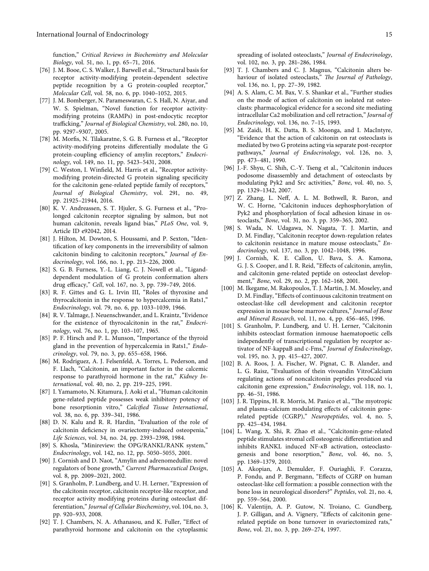<span id="page-14-0"></span>function," Critical Reviews in Biochemistry and Molecular Biology, vol. 51, no. 1, pp. 65–71, 2016.

- [76] J. M. Booe, C. S. Walker, J. Barwell et al., "Structural basis for receptor activity-modifying protein-dependent selective peptide recognition by a G protein-coupled receptor," Molecular Cell, vol. 58, no. 6, pp. 1040–1052, 2015.
- [77] J. M. Bomberger, N. Parameswaran, C. S. Hall, N. Aiyar, and W. S. Spielman, "Novel function for receptor activitymodifying proteins (RAMPs) in post-endocytic receptor trafficking," Journal of Biological Chemistry, vol. 280, no. 10, pp. 9297–9307, 2005.
- [78] M. Morfis, N. Tilakaratne, S. G. B. Furness et al., "Receptor activity-modifying proteins differentially modulate the G protein-coupling efficiency of amylin receptors," Endocrinology, vol. 149, no. 11, pp. 5423–5431, 2008.
- [79] C. Weston, I. Winfield, M. Harris et al., "Receptor activitymodifying protein-directed G protein signaling specificity for the calcitonin gene-related peptide family of receptors," Journal of Biological Chemistry, vol. 291, no. 49, pp. 21925–21944, 2016.
- [80] K. V. Andreassen, S. T. Hjuler, S. G. Furness et al., "Prolonged calcitonin receptor signaling by salmon, but not human calcitonin, reveals ligand bias," PLoS One, vol. 9, Article ID e92042, 2014.
- [81] J. Hilton, M. Dowton, S. Houssami, and P. Sexton, "Identification of key components in the irreversibility of salmon calcitonin binding to calcitonin receptors," Journal of Endocrinology, vol. 166, no. 1, pp. 213–226, 2000.
- [82] S. G. B. Furness, Y.-L. Liang, C. J. Nowell et al., "Liganddependent modulation of G protein conformation alters drug efficacy," Cell, vol. 167, no. 3, pp. 739–749, 2016.
- [83] R. F. Gittes and G. L. Irvin III, "Roles of thyroxine and thyrocalcitonin in the response to hypercalcemia in Rats1," Endocrinology, vol. 79, no. 6, pp. 1033–1039, 1966.
- [84] R. V. Talmage, J. Neuenschwander, and L. Kraintz, "Evidence for the existence of thyrocalcitonin in the rat," Endocrinology, vol. 76, no. 1, pp. 103–107, 1965.
- [85] P. F. Hirsch and P. L. Munson, "Importance of the thyroid gland in the prevention of hypercalcemia in Rats1," Endocrinology, vol. 79, no. 3, pp. 655–658, 1966.
- [86] M. Rodriguez, A. J. Felsenfeld, A. Torres, L. Pederson, and F. Llach, "Calcitonin, an important factor in the calcemic response to parathyroid hormone in the rat," Kidney International, vol. 40, no. 2, pp. 219–225, 1991.
- [87] I. Yamamoto, N. Kitamura, J. Aoki et al., "Human calcitonin gene-related peptide possesses weak inhibitory potency of bone resorptionin vitro," Calcified Tissue International, vol. 38, no. 6, pp. 339–341, 1986.
- [88] D. N. Kalu and R. R. Hardin, "Evaluation of the role of calcitonin deficiency in ovariectomy-induced osteopenia," Life Sciences, vol. 34, no. 24, pp. 2393–2398, 1984.
- [89] S. Khosla, "Minireview: the OPG/RANKL/RANK system," Endocrinology, vol. 142, no. 12, pp. 5050–5055, 2001.
- [90] J. Cornish and D. Naot, "Amylin and adrenomedullin: novel regulators of bone growth," Current Pharmaceutical Design, vol. 8, pp. 2009–2021, 2002.
- [91] S. Granholm, P. Lundberg, and U. H. Lerner, "Expression of the calcitonin receptor, calcitonin receptor-like receptor, and receptor activity modifying proteins during osteoclast differentiation," Journal of Cellular Biochemistry, vol. 104, no. 3, pp. 920–933, 2008.
- [92] T. J. Chambers, N. A. Athanasou, and K. Fuller, "Effect of parathyroid hormone and calcitonin on the cytoplasmic

spreading of isolated osteoclasts," Journal of Endocrinology, vol. 102, no. 3, pp. 281–286, 1984.

- [93] T. J. Chambers and C. J. Magnus, "Calcitonin alters behaviour of isolated osteoclasts," The Journal of Pathology, vol. 136, no. 1, pp. 27–39, 1982.
- [94] A. S. Alam, C. M. Bax, V. S. Shankar et al., "Further studies on the mode of action of calcitonin on isolated rat osteoclasts: pharmacological evidence for a second site mediating intracellular Ca2 mobilization and cell retraction," Journal of Endocrinology, vol. 136, no. 7–15, 1993.
- [95] M. Zaidi, H. K. Datta, B. S. Moonga, and I. MacIntyre, "Evidence that the action of calcitonin on rat osteoclasts is mediated by two G proteins acting via separate post-receptor pathways," Journal of Endocrinology, vol. 126, no. 3, pp. 473–481, 1990.
- [96] J.-F. Shyu, C. Shih, C.-Y. Tseng et al., "Calcitonin induces podosome disassembly and detachment of osteoclasts by modulating Pyk2 and Src activities," Bone, vol. 40, no. 5, pp. 1329–1342, 2007.
- [97] Z. Zhang, L. Neff, A. L. M. Bothwell, R. Baron, and W. C. Horne, "Calcitonin induces dephosphorylation of Pyk2 and phosphorylation of focal adhesion kinase in osteoclasts," Bone, vol. 31, no. 3, pp. 359–365, 2002.
- [98] S. Wada, N. Udagawa, N. Nagata, T. J. Martin, and D. M. Findlay, "Calcitonin receptor down-regulation relates to calcitonin resistance in mature mouse osteoclasts," Endocrinology, vol. 137, no. 3, pp. 1042–1048, 1996.
- [99] J. Cornish, K. E. Callon, U. Bava, S. A. Kamona, G. J. S. Cooper, and I. R. Reid, "Effects of calcitonin, amylin, and calcitonin gene-related peptide on osteoclast development," Bone, vol. 29, no. 2, pp. 162–168, 2001.
- [100] M. Ikegame, M. Rakopoulos, T. J. Martin, J. M. Moseley, and D. M. Findlay, "Effects of continuous calcitonin treatment on osteoclast-like cell development and calcitonin receptor expression in mouse bone marrow cultures," Journal of Bone and Mineral Research, vol. 11, no. 4, pp. 456–465, 1996.
- [101] S. Granholm, P. Lundberg, and U. H. Lerner, "Calcitonin inhibits osteoclast formation inmouse haematopoetic cells independently of transcriptional regulation by receptor activator of NF-kappaB and c-Fms," Journal of Endocrinology, vol. 195, no. 3, pp. 415–427, 2007.
- [102] B. A. Roos, J. A. Fischer, W. Pignat, C. B. Alander, and L. G. Raisz, "Evaluation of thein vivoandin VitroCalcium regulating actions of noncalcitonin peptides produced via calcitonin gene expression," Endocrinology, vol. 118, no. 1, pp. 46–51, 1986.
- [103] J. R. Tippins, H. R. Morris, M. Panico et al., "The myotropic and plasma-calcium modulating effects of calcitonin generelated peptide (CGRP)," Neuropeptides, vol. 4, no. 5, pp. 425–434, 1984.
- [104] L. Wang, X. Shi, R. Zhao et al., "Calcitonin-gene-related peptide stimulates stromal cell osteogenic differentiation and inhibits RANKL induced NF-κB activation, osteoclastogenesis and bone resorption," Bone, vol. 46, no. 5, pp. 1369–1379, 2010.
- [105] A. Akopian, A. Demulder, F. Ouriaghli, F. Corazza, P. Fondu, and P. Bergmann, "Effects of CGRP on human osteoclast-like cell formation: a possible connection with the bone loss in neurological disorders?" Peptides, vol. 21, no. 4, pp. 559–564, 2000.
- [106] K. Valentijn, A. P. Gutow, N. Troiano, C. Gundberg, J. P. Gilligan, and A. Vignery, "Effects of calcitonin generelated peptide on bone turnover in ovariectomized rats," Bone, vol. 21, no. 3, pp. 269–274, 1997.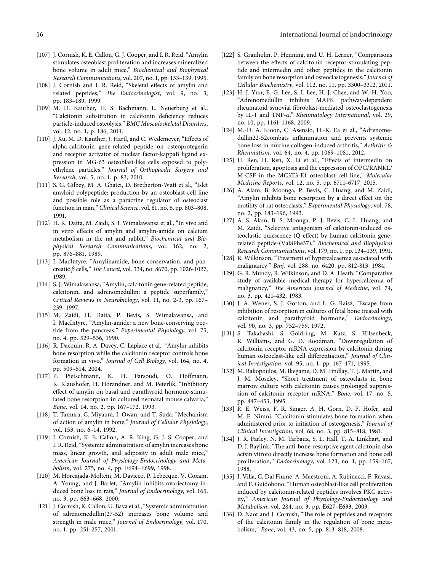- <span id="page-15-0"></span>[108] J. Cornish and I. R. Reid, "Skeletal effects of amylin and related peptides," The Endocrinologist, vol. 9, no. 3, pp. 183–189, 1999.
- [109] M. D. Kauther, H. S. Bachmann, L. Neuerburg et al., "Calcitonin substitution in calcitonin deficiency reduces particle-induced osteolysis," BMC Musculoskeletal Disorders, vol. 12, no. 1, p. 186, 2011.
- [110] J. Xu, M. D. Kauther, J. Hartl, and C. Wedemeyer, "Effects of alpha-calcitonin gene-related peptide on osteoprotegerin and receptor activator of nuclear factor-kappaB ligand expression in MG-63 osteoblast-like cells exposed to polyethylene particles," Journal of Orthopaedic Surgery and Research, vol. 5, no. 1, p. 83, 2010.
- [111] S. G. Gilbey, M. A. Ghatei, D. Bretherton-Watt et al., "Islet amyloid polypeptide: production by an osteoblast cell line and possible role as a paracrine regulator of osteoclast function in man," Clinical Science, vol. 81, no. 6, pp. 803–808, 1991.
- [112] H. K. Datta, M. Zaidi, S. J. Wimalawansa et al., "In vivo and in vitro effects of amylin and amylin-amide on calcium metabolism in the rat and rabbit," Biochemical and Biophysical Research Communications, vol. 162, no. 2, pp. 876–881, 1989.
- [113] I. MacIntyre, "Amylinamide, bone conservation, and pancreatic  $\beta$  cells," The Lancet, vol. 334, no. 8670, pp. 1026-1027, 1989.
- [114] S. J. Wimalawansa, "Amylin, calcitonin gene-related peptide, calcitonin, and adrenomedullin: a peptide superfamily," Critical Reviews in Neurobiology, vol. 11, no. 2-3, pp. 167– 239, 1997.
- [115] M. Zaidi, H. Datta, P. Bevis, S. Wimalawansa, and I. MacIntyre, "Amylin-amide: a new bone-conserving peptide from the pancreas," Experimental Physiology, vol. 75, no. 4, pp. 529–536, 1990.
- [116] R. Dacquin, R. A. Davey, C. Laplace et al., "Amylin inhibits bone resorption while the calcitonin receptor controls bone formation in vivo," Journal of Cell Biology, vol. 164, no. 4, pp. 509–514, 2004.
- [117] P. Pietschmann, K. H. Farsoudi, O. Hoffmann, K. Klaushofer, H. Hörandner, and M. Peterlik, "Inhibitory effect of amylin on basal and parathyroid hormone-stimulated bone resorption in cultured neonatal mouse calvaria," Bone, vol. 14, no. 2, pp. 167–172, 1993.
- [118] T. Tamura, C. Miyaura, I. Owan, and T. Suda, "Mechanism of action of amylin in bone," Journal of Cellular Physiology, vol. 153, no. 6–14, 1992.
- [119] J. Cornish, K. E. Callon, A. R. King, G. J. S. Cooper, and I. R. Reid, "Systemic administration of amylin increases bone mass, linear growth, and adiposity in adult male mice," American Journal of Physiology-Endocrinology and Metabolism, vol. 275, no. 4, pp. E694–E699, 1998.
- [120] M. Horcajada-Molteni, M. Davicco, P. Lebecque, V. Coxam, A. Young, and J. Barlet, "Amylin inhibits ovariectomy-induced bone loss in rats," Journal of Endocrinology, vol. 165, no. 3, pp. 663–668, 2000.
- [121] J. Cornish, K. Callon, U. Bava et al., "Systemic administration of adrenomedullin(27-52) increases bone volume and strength in male mice," Journal of Endocrinology, vol. 170, no. 1, pp. 251–257, 2001.
- [122] S. Granholm, P. Henning, and U. H. Lerner, "Comparisons between the effects of calcitonin receptor-stimulating peptide and intermedin and other peptides in the calcitonin family on bone resorption and osteoclastogenesis," Journal of Cellular Biochemistry, vol. 112, no. 11, pp. 3300–3312, 2011.
- [123] H.-J. Yun, E.-G. Lee, S.-I. Lee, H.-J. Chae, and W.-H. Yoo, "Adrenomedullin inhibits MAPK pathway-dependent rheumatoid synovial fibroblast-mediated osteoclastogenesis by IL-1 and TNF-α," Rheumatology International, vol. 29, no. 10, pp. 1161–1168, 2009.
- [124] M.-D. A. Kioon, C. Asensio, H.-K. Ea et al., "Adrenomedullin22-52combats inflammation and prevents systemic bone loss in murine collagen-induced arthritis," Arthritis & Rheumatism, vol. 64, no. 4, pp. 1069–1081, 2012.
- [125] H. Ren, H. Ren, X. Li et al., "Effects of intermedin on proliferation, apoptosis and the expression of OPG/RANKL/ M-CSF in the MC3T3-E1 osteoblast cell line," Molecular Medicine Reports, vol. 12, no. 5, pp. 6711–6717, 2015.
- [126] A. Alam, B. Moonga, P. Bevis, C. Huang, and M. Zaidi, "Amylin inhibits bone resorption by a direct effect on the motility of rat osteoclasts," Experimental Physiology, vol. 78, no. 2, pp. 183–196, 1993.
- [127] A. S. Alam, B. S. Moonga, P. J. Bevis, C. L. Huang, and M. Zaidi, "Selective antagonism of calcitonin-induced osteoclastic quiescence (Q effect) by human calcitonin generelated peptide-(Val8Phe37)," Biochemical and Biophysical Research Communications, vol. 179, no. 1, pp. 134–139, 1991.
- [128] R. Wilkinson, "Treatment of hypercalcaemia associated with malignancy," Bmj, vol. 288, no. 6420, pp. 812-813, 1984.
- [129] G. R. Mundy, R. Wilkinson, and D. A. Heath, "Comparative study of available medical therapy for hypercalcemia of malignancy," The American Journal of Medicine, vol. 74, no. 3, pp. 421–432, 1983.
- [130] J. A. Wener, S. J. Gorton, and L. G. Raisź, "Escape from inhibition of resorption in cultures of fetal bone treated with calcitonin and parathyroid hormone," Endocrinology, vol. 90, no. 3, pp. 752–759, 1972.
- [131] S. Takahashi, S. Goldring, M. Katz, S. Hilsenbeck, R. Williams, and G. D. Roodman, "Downregulation of calcitonin receptor mRNA expression by calcitonin during human osteoclast-like cell differentiation," Journal of Clinical Investigation, vol. 95, no. 1, pp. 167–171, 1995.
- [132] M. Rakopoulos, M. Ikegame, D. M. Findlay, T. J. Martin, and J. M. Moseley, "Short treatment of osteoclasts in bone marrow culture with calcitonin causes prolonged suppression of calcitonin receptor mRNA," Bone, vol. 17, no. 5, pp. 447–453, 1995.
- [133] R. E. Weiss, F. R. Singer, A. H. Gorn, D. P. Hofer, and M. E. Nimni, "Calcitonin stimulates bone formation when administered prior to initiation of osteogenesis," Journal of Clinical Investigation, vol. 68, no. 3, pp. 815–818, 1981.
- [134] J. R. Farley, N. M. Tarbaux, S. L. Hall, T. A. Linkhart, and D. J. Baylink, "The anti-bone-resorptive agent calcitonin also actsin vitroto directly increase bone formation and bone cell proliferation," Endocrinology, vol. 123, no. 1, pp. 159–167, 1988.
- [135] I. Villa, C. Dal Fiume, A. Maestroni, A. Rubinacci, F. Ravasi, and F. Guidobono, "Human osteoblast-like cell proliferation induced by calcitonin-related peptides involves PKC activity," American Journal of Physiology-Endocrinology and Metabolism, vol. 284, no. 3, pp. E627–E633, 2003.
- [136] D. Naot and J. Cornish, "The role of peptides and receptors of the calcitonin family in the regulation of bone metabolism," Bone, vol. 43, no. 5, pp. 813–818, 2008.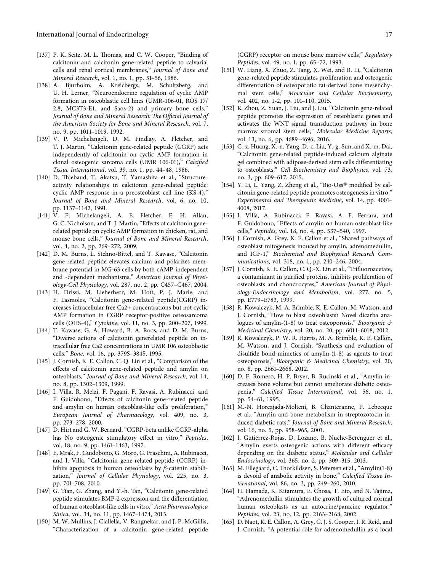- <span id="page-16-0"></span>[137] P. K. Seitz, M. L. Thomas, and C. W. Cooper, "Binding of calcitonin and calcitonin gene-related peptide to calvarial cells and renal cortical membranes," Journal of Bone and Mineral Research, vol. 1, no. 1, pp. 51–56, 1986.
- [138] A. Bjurholm, A. Kreicbergs, M. Schultzberg, and U. H. Lerner, "Neuroendocrine regulation of cyclic AMP formation in osteoblastic cell lines (UMR-106-01, ROS 17/ 2.8, MC3T3-E1, and Saos-2) and primary bone cells," Journal of Bone and Mineral Research: The Official Journal of the American Society for Bone and Mineral Research, vol. 7, no. 9, pp. 1011–1019, 1992.
- [139] V. P. Michelangeli, D. M. Findlay, A. Fletcher, and T. J. Martin, "Calcitonin gene-related peptide (CGRP) acts independently of calcitonin on cyclic AMP formation in clonal osteogenic sarcoma cells (UMR 106-01)," Calcified Tissue International, vol. 39, no. 1, pp. 44–48, 1986.
- [140] D. Thiebaud, T. Akatsu, T. Yamashita et al., "Structureactivity relationships in calcitonin gene-related peptide: cyclic AMP response in a preosteoblast cell line (KS-4)," Journal of Bone and Mineral Research, vol. 6, no. 10, pp. 1137–1142, 1991.
- [141] V. P. Michelangeli, A. E. Fletcher, E. H. Allan, G. C. Nicholson, and T. J. Martin, "Effects of calcitonin generelated peptide on cyclic AMP formation in chicken, rat, and mouse bone cells," Journal of Bone and Mineral Research, vol. 4, no. 2, pp. 269–272, 2009.
- [142] D. M. Burns, L. Stehno-Bittel, and T. Kawase, "Calcitonin gene-related peptide elevates calcium and polarizes membrane potential in MG-63 cells by both cAMP-independent and -dependent mechanisms," American Journal of Physiology-Cell Physiology, vol. 287, no. 2, pp. C457–C467, 2004.
- [143] H. Drissi, M. Lieberherr, M. Hott, P. J. Marie, and F. Lasmoles, "Calcitonin gene-related peptide(CGRP) increases intracellular free Ca2+ concentrations but not cyclic AMP formation in CGRP receptor-positive osteosarcoma cells (OHS-4)," Cytokine, vol. 11, no. 3, pp. 200–207, 1999.
- [144] T. Kawase, G. A. Howard, B. A. Roos, and D. M. Burns, "Diverse actions of calcitonin generelated peptide on intracellular free Ca2 concentrations in UMR 106 osteoblastic cells," Bone, vol. 16, pp. 379S–384S, 1995.
- [145] J. Cornish, K. E. Callon, C. Q. Lin et al., "Comparison of the effects of calcitonin gene-related peptide and amylin on osteoblasts," Journal of Bone and Mineral Research, vol. 14, no. 8, pp. 1302–1309, 1999.
- [146] I. Villa, R. Melzi, F. Pagani, F. Ravasi, A. Rubinacci, and F. Guidobono, "Effects of calcitonin gene-related peptide and amylin on human osteoblast-like cells proliferation," European Journal of Pharmacology, vol. 409, no. 3, pp. 273–278, 2000.
- [147] D. Hirt and G. W. Bernard, "CGRP-beta unlike CGRP-alpha has No osteogenic stimulatory effect in vitro," Peptides, vol. 18, no. 9, pp. 1461–1463, 1997.
- [148] E. Mrak, F. Guidobono, G. Moro, G. Fraschini, A. Rubinacci, and I. Villa, "Calcitonin gene-related peptide (CGRP) inhibits apoptosis in human osteoblasts by  $β$ -catenin stabilization," Journal of Cellular Physiology, vol. 225, no. 3, pp. 701–708, 2010.
- [149] G. Tian, G. Zhang, and Y.-h. Tan, "Calcitonin gene-related peptide stimulates BMP-2 expression and the differentiation of human osteoblast-like cells in vitro," Acta Pharmacologica Sinica, vol. 34, no. 11, pp. 1467–1474, 2013.
- [150] M. W. Mullins, J. Ciallella, V. Rangnekar, and J. P. McGillis, "Characterization of a calcitonin gene-related peptide

(CGRP) receptor on mouse bone marrow cells," Regulatory Peptides, vol. 49, no. 1, pp. 65–72, 1993.

- [151] W. Liang, X. Zhuo, Z. Tang, X. Wei, and B. Li, "Calcitonin gene-related peptide stimulates proliferation and osteogenic differentiation of osteoporotic rat-derived bone mesenchymal stem cells," Molecular and Cellular Biochemistry, vol. 402, no. 1-2, pp. 101–110, 2015.
- [152] R. Zhou, Z. Yuan, J. Liu, and J. Liu, "Calcitonin gene-related peptide promotes the expression of osteoblastic genes and activates the WNT signal transduction pathway in bone marrow stromal stem cells," Molecular Medicine Reports, vol. 13, no. 6, pp. 4689–4696, 2016.
- [153] C.-z. Huang, X.-n. Yang, D.-c. Liu, Y.-g. Sun, and X.-m. Dai, "Calcitonin gene-related peptide-induced calcium alginate gel combined with adipose-derived stem cells differentiating to osteoblasts," Cell Biochemistry and Biophysics, vol. 73, no. 3, pp. 609–617, 2015.
- [154] Y. Li, L. Yang, Z. Zheng et al., "Bio-Oss ® modified by calcitonin gene-related peptide promotes osteogenesis in vitro," Experimental and Therapeutic Medicine, vol. 14, pp. 4001– 4008, 2017.
- [155] I. Villa, A. Rubinacci, F. Ravasi, A. F. Ferrara, and F. Guidobono, "Effects of amylin on human osteoblast-like cells," Peptides, vol. 18, no. 4, pp. 537–540, 1997.
- [156] J. Cornish, A. Grey, K. E. Callon et al., "Shared pathways of osteoblast mitogenesis induced by amylin, adrenomedullin, and IGF-1," Biochemical and Biophysical Research Communications, vol. 318, no. 1, pp. 240–246, 2004.
- [157] J. Cornish, K. E. Callon, C. Q.-X. Lin et al., "Trifluoroacetate, a contaminant in purified proteins, inhibits proliferation of osteoblasts and chondrocytes," American Journal of Physiology-Endocrinology and Metabolism, vol. 277, no. 5, pp. E779–E783, 1999.
- [158] R. Kowalczyk, M. A. Brimble, K. E. Callon, M. Watson, and J. Cornish, "How to blast osteoblasts? Novel dicarba analogues of amylin-(1-8) to treat osteoporosis," Bioorganic & Medicinal Chemistry, vol. 20, no. 20, pp. 6011–6018, 2012.
- [159] R. Kowalczyk, P. W. R. Harris, M. A. Brimble, K. E. Callon, M. Watson, and J. Cornish, "Synthesis and evaluation of disulfide bond mimetics of amylin-(1-8) as agents to treat osteoporosis," Bioorganic & Medicinal Chemistry, vol. 20, no. 8, pp. 2661–2668, 2012.
- [160] D. F. Romero, H. P. Bryer, B. Rucinski et al., "Amylin increases bone volume but cannot ameliorate diabetic osteopenia," Calcified Tissue International, vol. 56, no. 1, pp. 54–61, 1995.
- [161] M.-N. Horcajada-Molteni, B. Chanteranne, P. Lebecque et al., "Amylin and bone metabolism in streptozotocin-induced diabetic rats," Journal of Bone and Mineral Research, vol. 16, no. 5, pp. 958–965, 2001.
- [162] I. Gutiérrez-Rojas, D. Lozano, B. Nuche-Berenguer et al., "Amylin exerts osteogenic actions with different efficacy depending on the diabetic status," Molecular and Cellular Endocrinology, vol. 365, no. 2, pp. 309–315, 2013.
- [163] M. Ellegaard, C. Thorkildsen, S. Petersen et al., "Amylin(1-8) is devoid of anabolic activity in bone," Calcified Tissue International, vol. 86, no. 3, pp. 249–260, 2010.
- [164] H. Hamada, K. Kitamura, E. Chosa, T. Eto, and N. Tajima, "Adrenomedullin stimulates the growth of cultured normal human osteoblasts as an autocrine/paracine regulator," Peptides, vol. 23, no. 12, pp. 2163–2168, 2002.
- [165] D. Naot, K. E. Callon, A. Grey, G. J. S. Cooper, I. R. Reid, and J. Cornish, "A potential role for adrenomedullin as a local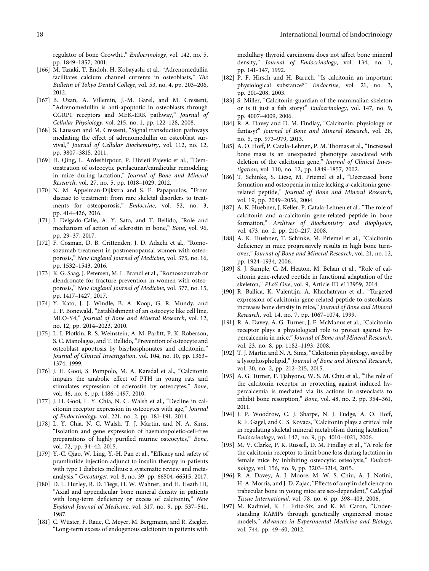<span id="page-17-0"></span>regulator of bone Growth1," Endocrinology, vol. 142, no. 5, pp. 1849–1857, 2001.

- [166] M. Tazaki, T. Endoh, H. Kobayashi et al., "Adrenomedullin facilitates calcium channel currents in osteoblasts," The Bulletin of Tokyo Dental College, vol. 53, no. 4, pp. 203–206, 2012.
- [167] B. Uzan, A. Villemin, J.-M. Garel, and M. Cressent, "Adrenomedullin is anti-apoptotic in osteoblasts through CGRP1 receptors and MEK-ERK pathway," Journal of Cellular Physiology, vol. 215, no. 1, pp. 122–128, 2008.
- [168] S. Lausson and M. Cressent, "Signal transduction pathways mediating the effect of adrenomedullin on osteoblast survival," Journal of Cellular Biochemistry, vol. 112, no. 12, pp. 3807–3815, 2011.
- [169] H. Qing, L. Ardeshirpour, P. Divieti Pajevic et al., "Demonstration of osteocytic perilacunar/canalicular remodeling in mice during lactation," Journal of Bone and Mineral Research, vol. 27, no. 5, pp. 1018–1029, 2012.
- [170] N. M. Appelman-Dijkstra and S. E. Papapoulos, "From disease to treatment: from rare skeletal disorders to treatments for osteoporosis," Endocrine, vol. 52, no. 3, pp. 414–426, 2016.
- [171] J. Delgado-Calle, A. Y. Sato, and T. Bellido, "Role and mechanism of action of sclerostin in bone," Bone, vol. 96, pp. 29–37, 2017.
- [172] F. Cosman, D. B. Crittenden, J. D. Adachi et al., "Romosozumab treatment in postmenopausal women with osteoporosis," New England Journal of Medicine, vol. 375, no. 16, pp. 1532–1543, 2016.
- [173] K. G. Saag, J. Petersen, M. L. Brandi et al., "Romosozumab or alendronate for fracture prevention in women with osteoporosis," New England Journal of Medicine, vol. 377, no. 15, pp. 1417–1427, 2017.
- [174] Y. Kato, J. J. Windle, B. A. Koop, G. R. Mundy, and L. F. Bonewald, "Establishment of an osteocyte like cell line, MLO-Y4," Journal of Bone and Mineral Research, vol. 12, no. 12, pp. 2014–2023, 2010.
- [175] L. I. Plotkin, R. S. Weinstein, A. M. Parfitt, P. K. Roberson, S. C. Manolagas, and T. Bellido, "Prevention of osteocyte and osteoblast apoptosis by bisphosphonates and calcitonin," Journal of Clinical Investigation, vol. 104, no. 10, pp. 1363– 1374, 1999.
- [176] J. H. Gooi, S. Pompolo, M. A. Karsdal et al., "Calcitonin impairs the anabolic effect of PTH in young rats and stimulates expression of sclerostin by osteocytes," Bone, vol. 46, no. 6, pp. 1486–1497, 2010.
- [177] J. H. Gooi, L. Y. Chia, N. C. Walsh et al., "Decline in calcitonin receptor expression in osteocytes with age," Journal of Endocrinology, vol. 221, no. 2, pp. 181–191, 2014.
- [178] L. Y. Chia, N. C. Walsh, T. J. Martin, and N. A. Sims, "Isolation and gene expression of haematopoietic-cell-free preparations of highly purified murine osteocytes," Bone, vol. 72, pp. 34–42, 2015.
- [179] Y.-C. Qiao, W. Ling, Y.-H. Pan et al., "Efficacy and safety of pramlintide injection adjunct to insulin therapy in patients with type 1 diabetes mellitus: a systematic review and metaanalysis," Oncotarget, vol. 8, no. 39, pp. 66504–66515, 2017.
- [180] D. L. Hurley, R. D. Tiegs, H. W. Wahner, and H. Heath III, "Axial and appendicular bone mineral density in patients with long-term deficiency or excess of calcitonin," New England Journal of Medicine, vol. 317, no. 9, pp. 537–541, 1987.
- [181] C. Wüster, F. Raue, C. Meyer, M. Bergmann, and R. Ziegler, "Long-term excess of endogenous calcitonin in patients with

medullary thyroid carcinoma does not affect bone mineral density," Journal of Endocrinology, vol. 134, no. 1, pp. 141–147, 1992.

- [182] P. F. Hirsch and H. Baruch, "Is calcitonin an important physiological substance?" Endocrine, vol. 21, no. 3, pp. 201–208, 2003.
- [183] S. Miller, "Calcitonin-guardian of the mammalian skeleton or is it just a fish story?" Endocrinology, vol. 147, no. 9, pp. 4007–4009, 2006.
- [184] R. A. Davey and D. M. Findlay, "Calcitonin: physiology or fantasy?" Journal of Bone and Mineral Research, vol. 28, no. 5, pp. 973–979, 2013.
- [185] A. O. Hoff, P. Catala-Lehnen, P. M. Thomas et al., "Increased bone mass is an unexpected phenotype associated with deletion of the calcitonin gene," Journal of Clinical Investigation, vol. 110, no. 12, pp. 1849–1857, 2002.
- [186] T. Schinke, S. Liese, M. Priemel et al., "Decreased bone formation and osteopenia in mice lacking  $\alpha$ -calcitonin generelated peptide," Journal of Bone and Mineral Research, vol. 19, pp. 2049–2056, 2004.
- [187] A. K. Huebner, J. Keller, P. Catala-Lehnen et al., "The role of calcitonin and α-calcitonin gene-related peptide in bone formation," Archives of Biochemistry and Biophysics, vol. 473, no. 2, pp. 210–217, 2008.
- [188] A. K. Huebner, T. Schinke, M. Priemel et al., "Calcitonin deficiency in mice progressively results in high bone turnover," Journal of Bone and Mineral Research, vol. 21, no. 12, pp. 1924–1934, 2006.
- [189] S. J. Sample, C. M. Heaton, M. Behan et al., "Role of calcitonin gene-related peptide in functional adaptation of the skeleton," PLoS One, vol. 9, Article ID e113959, 2014.
- [190] R. Ballica, K. Valentijn, A. Khachatryan et al., "Targeted expression of calcitonin gene-related peptide to osteoblasts increases bone density in mice," Journal of Bone and Mineral Research, vol. 14, no. 7, pp. 1067–1074, 1999.
- [191] R. A. Davey, A. G. Turner, J. F. McManus et al., "Calcitonin receptor plays a physiological role to protect against hypercalcemia in mice," Journal of Bone and Mineral Research, vol. 23, no. 8, pp. 1182–1193, 2008.
- [192] T. J. Martin and N. A. Sims, "Calcitonin physiology, saved by a lysophospholipid," Journal of Bone and Mineral Research, vol. 30, no. 2, pp. 212–215, 2015.
- [193] A. G. Turner, F. Tjahyono, W. S. M. Chiu et al., "The role of the calcitonin receptor in protecting against induced hypercalcemia is mediated via its actions in osteoclasts to inhibit bone resorption," Bone, vol. 48, no. 2, pp. 354–361, 2011.
- [194] J. P. Woodrow, C. J. Sharpe, N. J. Fudge, A. O. Hoff, R. F. Gagel, and C. S. Kovacs, "Calcitonin plays a critical role in regulating skeletal mineral metabolism during lactation," Endocrinology, vol. 147, no. 9, pp. 4010–4021, 2006.
- [195] M. V. Clarke, P. K. Russell, D. M. Findlay et al., "A role for the calcitonin receptor to limit bone loss during lactation in female mice by inhibiting osteocytic osteolysis," Endocrinology, vol. 156, no. 9, pp. 3203–3214, 2015.
- [196] R. A. Davey, A. J. Moore, M. W. S. Chiu, A. J. Notini, H. A. Morris, and J. D. Zajac, "Effects of amylin deficiency on trabecular bone in young mice are sex-dependent," Calcified Tissue International, vol. 78, no. 6, pp. 398–403, 2006.
- [197] M. Kadmiel, K. L. Fritz-Six, and K. M. Caron, "Understanding RAMPs through genetically engineered mouse models," Advances in Experimental Medicine and Biology, vol. 744, pp. 49–60, 2012.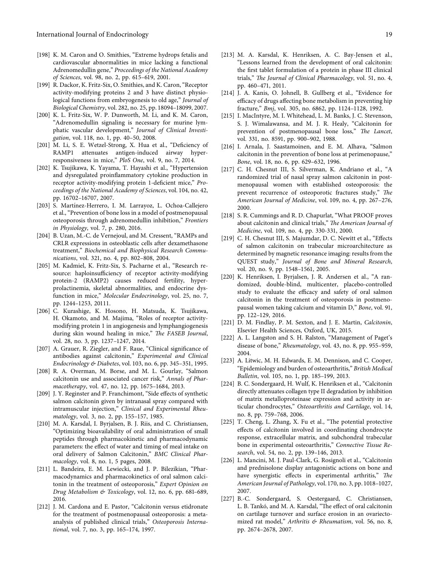- <span id="page-18-0"></span>[198] K. M. Caron and O. Smithies, "Extreme hydrops fetalis and cardiovascular abnormalities in mice lacking a functional Adrenomedullin gene," Proceedings of the National Academy of Sciences, vol. 98, no. 2, pp. 615–619, 2001.
- [199] R. Dackor, K. Fritz-Six, O. Smithies, and K. Caron, "Receptor activity-modifying proteins 2 and 3 have distinct physiological functions from embryogenesis to old age," *Journal of* Biological Chemistry, vol. 282, no. 25, pp. 18094–18099, 2007.
- [200] K. L. Fritz-Six, W. P. Dunworth, M. Li, and K. M. Caron, "Adrenomedullin signaling is necessary for murine lymphatic vascular development," Journal of Clinical Investigation, vol. 118, no. 1, pp. 40–50, 2008.
- [201] M. Li, S. E. Wetzel-Strong, X. Hua et al., "Deficiency of RAMP1 attenuates antigen-induced airway hyperresponsiveness in mice," PloS One, vol. 9, no. 7, 2014.
- [202] K. Tsujikawa, K. Yayama, T. Hayashi et al., "Hypertension and dysregulated proinflammatory cytokine production in receptor activity-modifying protein 1-deficient mice," Proceedings of the National Academy of Sciences, vol. 104, no. 42, pp. 16702–16707, 2007.
- [203] S. Martínez-Herrero, I. M. Larrayoz, L. Ochoa-Callejero et al., "Prevention of bone loss in a model of postmenopausal osteoporosis through adrenomedullin inhibition," Frontiers in Physiology, vol. 7, p. 280, 2016.
- [204] B. Uzan, M.-C. de Vernejoul, and M. Cressent, "RAMPs and CRLR expressions in osteoblastic cells after dexamethasone treatment," Biochemical and Biophysical Research Communications, vol. 321, no. 4, pp. 802–808, 2004.
- [205] M. Kadmiel, K. Fritz-Six, S. Pacharne et al., "Research resource: haploinsufficiency of receptor activity-modifying protein-2 (RAMP2) causes reduced fertility, hyperprolactinemia, skeletal abnormalities, and endocrine dysfunction in mice," Molecular Endocrinology, vol. 25, no. 7, pp. 1244–1253, 20111.
- [206] C. Kurashige, K. Hosono, H. Matsuda, K. Tsujikawa, H. Okamoto, and M. Majima, "Roles of receptor activitymodifying protein 1 in angiogenesis and lymphangiogenesis during skin wound healing in mice," The FASEB Journal, vol. 28, no. 3, pp. 1237–1247, 2014.
- [207] A. Grauer, R. Ziegler, and F. Raue, "Clinical significance of antibodies against calcitonin," Experimental and Clinical Endocrinology & Diabetes, vol. 103, no. 6, pp. 345–351, 1995.
- [208] R. A. Overman, M. Borse, and M. L. Gourlay, "Salmon calcitonin use and associated cancer risk," Annals of Pharmacotherapy, vol. 47, no. 12, pp. 1675–1684, 2013.
- [209] J. Y. Reginster and P. Franchimont, "Side effects of synthetic salmon calcitonin given by intranasal spray compared with intramuscular injection," Clinical and Experimental Rheumatology, vol. 3, no. 2, pp. 155–157, 1985.
- [210] M. A. Karsdal, I. Byrjalsen, B. J. Riis, and C. Christiansen, "Optimizing bioavailability of oral administration of small peptides through pharmacokinetic and pharmacodynamic parameters: the effect of water and timing of meal intake on oral delivery of Salmon Calcitonin," BMC Clinical Pharmacology, vol. 8, no. 1, 5 pages, 2008.
- [211] L. Bandeira, E. M. Lewiecki, and J. P. Bilezikian, "Pharmacodynamics and pharmacokinetics of oral salmon calcitonin in the treatment of osteoporosis," Expert Opinion on Drug Metabolism & Toxicology, vol. 12, no. 6, pp. 681–689, 2016.
- [212] J. M. Cardona and E. Pastor, "Calcitonin versus etidronate for the treatment of postmenopausal osteoporosis: a metaanalysis of published clinical trials," Osteoporosis International, vol. 7, no. 3, pp. 165–174, 1997.
- [213] M. A. Karsdal, K. Henriksen, A. C. Bay-Jensen et al., "Lessons learned from the development of oral calcitonin: the first tablet formulation of a protein in phase III clinical trials," The Journal of Clinical Pharmacology, vol. 51, no. 4, pp. 460–471, 2011.
- [214] J. A. Kanis, O. Johnell, B. Gullberg et al., "Evidence for efficacy of drugs affecting bone metabolism in preventing hip fracture," Bmj, vol. 305, no. 6862, pp. 1124–1128, 1992.
- [215] I. MacIntyre, M. I. Whitehead, L. M. Banks, J. C. Stevenson, S. J. Wimalawansa, and M. J. R. Healy, "Calcitonin for prevention of postmenopausal bone loss," The Lancet, vol. 331, no. 8591, pp. 900–902, 1988.
- [216] I. Arnala, J. Saastamoinen, and E. M. Alhava, "Salmon calcitonin in the prevention of bone loss at perimenopause," Bone, vol. 18, no. 6, pp. 629–632, 1996.
- [217] C. H. Chesnut III, S. Silverman, K. Andriano et al., "A randomized trial of nasal spray salmon calcitonin in postmenopausal women with established osteoporosis: the prevent recurrence of osteoporotic fractures study," The American Journal of Medicine, vol. 109, no. 4, pp. 267–276, 2000.
- [218] S. R. Cummings and R. D. Chapurlat, "What PROOF proves about calcitonin and clinical trials," The American Journal of Medicine, vol. 109, no. 4, pp. 330-331, 2000.
- [219] C. H. Chesnut III, S. Majumdar, D. C. Newitt et al., "Effects of salmon calcitonin on trabecular microarchitecture as determined by magnetic resonance imaging: results from the QUEST study," Journal of Bone and Mineral Research, vol. 20, no. 9, pp. 1548–1561, 2005.
- [220] K. Henriksen, I. Byrjalsen, J. R. Andersen et al., "A randomized, double-blind, multicenter, placebo-controlled study to evaluate the efficacy and safety of oral salmon calcitonin in the treatment of osteoporosis in postmenopausal women taking calcium and vitamin D," Bone, vol. 91, pp. 122–129, 2016.
- [221] D. M. Findlay, P. M. Sexton, and J. E. Martin, Calcitonin, Elsevier Health Sciences, Oxford, UK, 2015.
- [222] A. L. Langston and S. H. Ralston, "Management of Paget's disease of bone," Rheumatology, vol. 43, no. 8, pp. 955–959, 2004.
- [223] A. Litwic, M. H. Edwards, E. M. Dennison, and C. Cooper, "Epidemiology and burden of osteoarthritis," British Medical Bulletin, vol. 105, no. 1, pp. 185–199, 2013.
- [224] B. C. Sondergaard, H. Wulf, K. Henriksen et al., "Calcitonin directly attenuates collagen type II degradation by inhibition of matrix metalloproteinase expression and activity in articular chondrocytes," Osteoarthritis and Cartilage, vol. 14, no. 8, pp. 759–768, 2006.
- [225] T. Cheng, L. Zhang, X. Fu et al., "The potential protective effects of calcitonin involved in coordinating chondrocyte response, extracellular matrix, and subchondral trabecular bone in experimental osteoarthritis," Connective Tissue Research, vol. 54, no. 2, pp. 139–146, 2013.
- [226] L. Mancini, M. J. Paul-Clark, G. Rosignoli et al., "Calcitonin and prednisolone display antagonistic actions on bone and have synergistic effects in experimental arthritis," The American Journal of Pathology, vol. 170, no. 3, pp. 1018–1027, 2007.
- [227] B.-C. Sondergaard, S. Oestergaard, C. Christiansen, L. B. Tankó, and M. A. Karsdal, "The effect of oral calcitonin on cartilage turnover and surface erosion in an ovariectomized rat model," Arthritis & Rheumatism, vol. 56, no. 8, pp. 2674–2678, 2007.